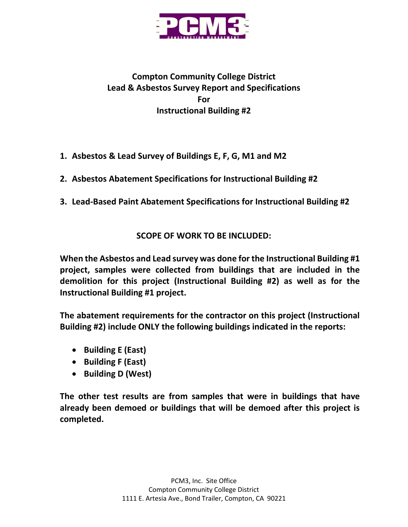

## **Compton Community College District Lead & Asbestos Survey Report and Specifications For Instructional Building #2**

- **1. Asbestos & Lead Survey of Buildings E, F, G, M1 and M2**
- **2. Asbestos Abatement Specifications for Instructional Building #2**
- **3. Lead-Based Paint Abatement Specifications for Instructional Building #2**

## **SCOPE OF WORK TO BE INCLUDED:**

**When the Asbestos and Lead survey was done for the Instructional Building #1 project, samples were collected from buildings that are included in the demolition for this project (Instructional Building #2) as well as for the Instructional Building #1 project.**

**The abatement requirements for the contractor on this project (Instructional Building #2) include ONLY the following buildings indicated in the reports:**

- **Building E (East)**
- **Building F (East)**
- **Building D (West)**

**The other test results are from samples that were in buildings that have already been demoed or buildings that will be demoed after this project is completed.**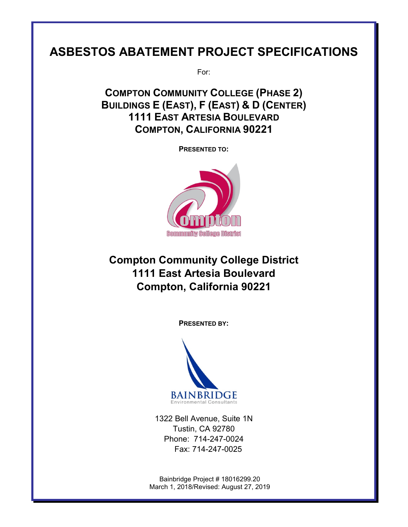# **ASBESTOS ABATEMENT PROJECT SPECIFICATIONS**

For:

**COMPTON COMMUNITY COLLEGE (PHASE 2) BUILDINGS E (EAST), F (EAST) & D (CENTER) 1111 EAST ARTESIA BOULEVARD COMPTON, CALIFORNIA 90221**

**PRESENTED TO:**



# **Compton Community College District 1111 East Artesia Boulevard Compton, California 90221**

**PRESENTED BY:**



1322 Bell Avenue, Suite 1N Tustin, CA 92780 Phone: 714-247-0024 Fax: 714-247-0025

Bainbridge Project # 18016299.20 March 1, 2018/Revised: August 27, 2019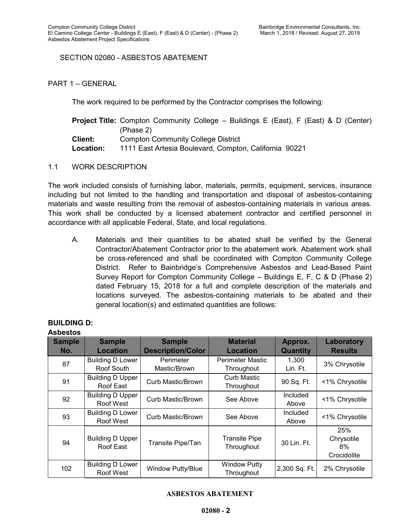## SECTION 02080 - ASBESTOS ABATEMENT

PART 1 – GENERAL

The work required to be performed by the Contractor comprises the following:

|                | <b>Project Title:</b> Compton Community College – Buildings E (East), F (East) & D (Center) |
|----------------|---------------------------------------------------------------------------------------------|
|                | (Phase 2)                                                                                   |
| <b>Client:</b> | <b>Compton Community College District</b>                                                   |
| Location:      | 1111 East Artesia Boulevard, Compton, California 90221                                      |

1.1 WORK DESCRIPTION

The work included consists of furnishing labor, materials, permits, equipment, services, insurance including but not limited to the handling and transportation and disposal of asbestos-containing materials and waste resulting from the removal of asbestos-containing materials in various areas. This work shall be conducted by a licensed abatement contractor and certified personnel in accordance with all applicable Federal, State, and local regulations.

A. Materials and their quantities to be abated shall be verified by the General Contractor/Abatement Contractor prior to the abatement work. Abatement work shall be cross-referenced and shall be coordinated with Compton Community College District. Refer to Bainbridge's Comprehensive Asbestos and Lead-Based Paint Survey Report for Compton Community College – Buildings E, F, C & D (Phase 2) dated February 15, 2018 for a full and complete description of the materials and locations surveyed. The asbestos-containing materials to be abated and their general location(s) and estimated quantities are follows:

| <b>Asbestos</b>      |                                       |                                           |                                       |                            |                                        |
|----------------------|---------------------------------------|-------------------------------------------|---------------------------------------|----------------------------|----------------------------------------|
| <b>Sample</b><br>No. | <b>Sample</b><br><b>Location</b>      | <b>Sample</b><br><b>Description/Color</b> | <b>Material</b><br><b>Location</b>    | Approx.<br><b>Quantity</b> | Laboratory<br><b>Results</b>           |
| 87                   | <b>Building D Lower</b><br>Roof South | Perimeter<br>Mastic/Brown                 | <b>Perimeter Mastic</b><br>Throughout | 1,300<br>Lin. Ft.          | 3% Chrysotile                          |
| 91                   | <b>Building D Upper</b><br>Roof East  | Curb Mastic/Brown                         | <b>Curb Mastic</b><br>Throughout      | 90 Sq. Ft.                 | <1% Chrysotile                         |
| 92                   | <b>Building D Upper</b><br>Roof West  | Curb Mastic/Brown                         | See Above                             | <b>Included</b><br>Above   | <1% Chrysotile                         |
| 93                   | <b>Building D Lower</b><br>Roof West  | Curb Mastic/Brown                         | See Above                             | <b>Included</b><br>Above   | <1% Chrysotile                         |
| 94                   | <b>Building D Upper</b><br>Roof East  | Transite Pipe/Tan                         | <b>Transite Pipe</b><br>Throughout    | 30 Lin. Ft.                | 25%<br>Chrysotile<br>8%<br>Crocidolite |
| 102                  | <b>Building D Lower</b><br>Roof West  | Window Putty/Blue                         | <b>Window Putty</b><br>Throughout     | 2,300 Sq. Ft.              | 2% Chrysotile                          |

## **BUILDING D:**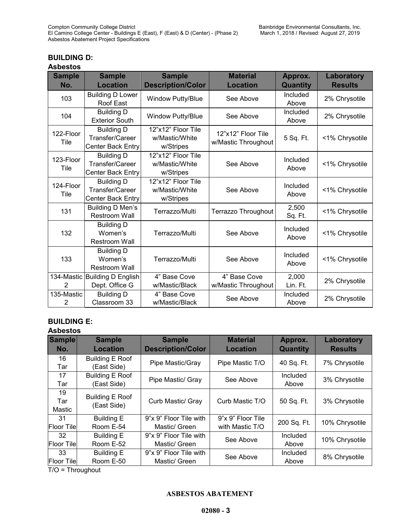**Approx.** 

**Laboratory Results**

## **BUILDING D:**

#### **Asbestos**

| <b>Sample</b><br>No. | <b>Sample</b><br><b>Location</b>                          | <b>Sample</b><br><b>Description/Color</b>         | <b>Material</b><br><b>Location</b>        | Approx.<br><b>Quantity</b> | Laboratory<br><b>Results</b> |
|----------------------|-----------------------------------------------------------|---------------------------------------------------|-------------------------------------------|----------------------------|------------------------------|
| 103                  | <b>Building D Lower</b><br>Roof East                      | Window Putty/Blue                                 | See Above                                 | Included<br>Above          | 2% Chrysotile                |
| 104                  | <b>Building D</b><br><b>Exterior South</b>                | Window Putty/Blue                                 | See Above                                 | Included<br>Above          | 2% Chrysotile                |
| 122-Floor<br>Tile    | <b>Building D</b><br>Transfer/Career<br>Center Back Entry | 12"x12" Floor Tile<br>w/Mastic/White<br>w/Stripes | 12"x12" Floor Tile<br>w/Mastic Throughout | 5 Sq. Ft.                  | <1% Chrysotile               |
| 123-Floor<br>Tile    | <b>Building D</b><br>Transfer/Career<br>Center Back Entry | 12"x12" Floor Tile<br>w/Mastic/White<br>w/Stripes | See Above                                 | Included<br>Above          | <1% Chrysotile               |
| 124-Floor<br>Tile    | <b>Building D</b><br>Transfer/Career<br>Center Back Entry | 12"x12" Floor Tile<br>w/Mastic/White<br>w/Stripes | See Above                                 | Included<br>Above          | <1% Chrysotile               |
| 131                  | Building D Men's<br><b>Restroom Wall</b>                  | Terrazzo/Multi                                    | Terrazzo Throughout                       | 2,500<br>Sq. Ft.           | <1% Chrysotile               |
| 132                  | <b>Building D</b><br>Women's<br><b>Restroom Wall</b>      | Terrazzo/Multi                                    | See Above                                 | Included<br>Above          | <1% Chrysotile               |
| 133                  | <b>Building D</b><br>Women's<br><b>Restroom Wall</b>      | Terrazzo/Multi                                    | See Above                                 | Included<br>Above          | <1% Chrysotile               |
| 2                    | 134-Mastic Building D English<br>Dept. Office G           | 4" Base Cove<br>w/Mastic/Black                    | 4" Base Cove<br>w/Mastic Throughout       | 2,000<br>Lin. Ft.          | 2% Chrysotile                |
| 135-Mastic<br>2      | <b>Building D</b><br>Classroom 33                         | 4" Base Cove<br>w/Mastic/Black                    | See Above                                 | Included<br>Above          | 2% Chrysotile                |

## **BUILDING E:**

#### **Asbestos Sample No. Sample Location Sample Description/Color Material Location** 16 Tar Building E Roof 17 Tar Building E Roof 19 Tar Mastic Building E Roof

| No.                      | <b>Location</b>                       | <b>Description/Color</b>                | <b>Location</b>                      | <b>Quantity</b>   | <b>Results</b> |
|--------------------------|---------------------------------------|-----------------------------------------|--------------------------------------|-------------------|----------------|
| 16<br>Tar                | <b>Building E Roof</b><br>(East Side) | Pipe Mastic/Gray                        | Pipe Mastic T/O                      | 40 Sq. Ft.        | 7% Chrysotile  |
| 17<br>Tar                | <b>Building E Roof</b><br>(East Side) | Pipe Mastic/ Gray                       | See Above                            | Included<br>Above | 3% Chrysotile  |
| 19<br>Tar<br>Mastic      | <b>Building E Roof</b><br>(East Side) | Curb Mastic/ Gray                       | Curb Mastic T/O                      | 50 Sq. Ft.        | 3% Chrysotile  |
| 31<br><b>Floor Tilel</b> | <b>Building E</b><br>Room E-54        | 9"x 9" Floor Tile with<br>Mastic/ Green | 9"x 9" Floor Tile<br>with Mastic T/O | 200 Sq. Ft.       | 10% Chrysotile |
| 32<br><b>Floor Tilel</b> | <b>Building E</b><br>Room E-52        | 9"x 9" Floor Tile with<br>Mastic/ Green | See Above                            | Included<br>Above | 10% Chrysotile |
| 33<br><b>Floor Tile</b>  | <b>Building E</b><br>Room E-50        | 9"x 9" Floor Tile with<br>Mastic/ Green | See Above                            | Included<br>Above | 8% Chrysotile  |
| $T/O = Throught$         |                                       |                                         |                                      |                   |                |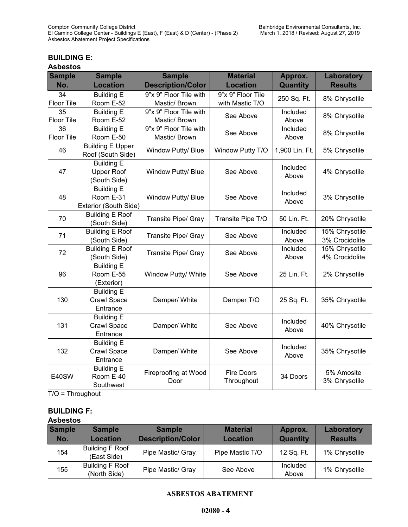## **BUILDING E:**

| <b>Asbestos</b> |
|-----------------|
|-----------------|

| <b>Sample</b>     | <b>Sample</b>           | <b>Sample</b>            | <b>Material</b>   | Approx.        | Laboratory     |  |
|-------------------|-------------------------|--------------------------|-------------------|----------------|----------------|--|
| No.               | <b>Location</b>         | <b>Description/Color</b> | <b>Location</b>   | Quantity       | <b>Results</b> |  |
| 34                | <b>Building E</b>       | 9"x 9" Floor Tile with   | 9"x 9" Floor Tile | 250 Sq. Ft.    | 8% Chrysotile  |  |
| <b>Floor Tile</b> | Room E-52               | Mastic/ Brown            | with Mastic T/O   |                |                |  |
| $\overline{35}$   | <b>Building E</b>       | 9"x 9" Floor Tile with   | See Above         | Included       | 8% Chrysotile  |  |
| <b>Floor Tile</b> | Room E-52               | Mastic/ Brown            |                   | Above          |                |  |
| 36                | <b>Building E</b>       | 9"x 9" Floor Tile with   | See Above         | Included       | 8% Chrysotile  |  |
| <b>Floor Tile</b> | Room E-50               | Mastic/ Brown            |                   | Above          |                |  |
| 46                | <b>Building E Upper</b> | Window Putty/ Blue       | Window Putty T/O  | 1,900 Lin. Ft. | 5% Chrysotile  |  |
|                   | Roof (South Side)       |                          |                   |                |                |  |
|                   | <b>Building E</b>       |                          |                   | Included       |                |  |
| 47                | <b>Upper Roof</b>       | Window Putty/ Blue       | See Above         | Above          | 4% Chrysotile  |  |
|                   | (South Side)            |                          |                   |                |                |  |
|                   | <b>Building E</b>       |                          |                   | Included       |                |  |
| 48                | Room E-31               | Window Putty/ Blue       | See Above         | Above          | 3% Chrysotile  |  |
|                   | Exterior (South Side)   |                          |                   |                |                |  |
| 70                | <b>Building E Roof</b>  |                          | Transite Pipe T/O | 50 Lin. Ft.    | 20% Chrysotile |  |
|                   | (South Side)            | Transite Pipe/ Gray      |                   |                |                |  |
| 71                | <b>Building E Roof</b>  |                          |                   | Included       | 15% Chrysotile |  |
|                   | (South Side)            | Transite Pipe/ Gray      | See Above         | Above          | 3% Crocidolite |  |
| 72                | <b>Building E Roof</b>  |                          | See Above         | Included       | 15% Chrysotile |  |
|                   | (South Side)            | Transite Pipe/ Gray      |                   | Above          | 4% Crocidolite |  |
|                   | <b>Building E</b>       |                          |                   |                |                |  |
| 96                | Room E-55               | Window Putty/ White      | See Above         | 25 Lin. Ft.    | 2% Chrysotile  |  |
|                   | (Exterior)              |                          |                   |                |                |  |
|                   | <b>Building E</b>       |                          |                   |                |                |  |
| 130               | Crawl Space             | Damper/ White            | Damper T/O        | 25 Sq. Ft.     | 35% Chrysotile |  |
|                   | Entrance                |                          |                   |                |                |  |
|                   | <b>Building E</b>       |                          |                   | Included       |                |  |
| 131               | Crawl Space             | Damper/ White            | See Above         | Above          | 40% Chrysotile |  |
|                   | Entrance                |                          |                   |                |                |  |
|                   | <b>Building E</b>       |                          |                   | Included       |                |  |
| 132               | Crawl Space             | Damper/ White            | See Above         |                | 35% Chrysotile |  |
|                   | Entrance                |                          |                   | Above          |                |  |
|                   | <b>Building E</b>       | Fireproofing at Wood     | <b>Fire Doors</b> |                | 5% Amosite     |  |
| E40SW             | Room E-40               | Door                     | Throughout        | 34 Doors       | 3% Chrysotile  |  |
|                   | Southwest               |                          |                   |                |                |  |

T/O = Throughout

## **BUILDING F:**

#### **Asbestos**

| <b>Sample</b><br>No. | <b>Sample</b><br><b>Location</b>       | <b>Sample</b><br><b>Description/Color</b> | <b>Material</b><br><b>Location</b> | Approx.<br><b>Quantity</b> | Laboratory<br><b>Results</b> |
|----------------------|----------------------------------------|-------------------------------------------|------------------------------------|----------------------------|------------------------------|
| 154                  | <b>Building F Roof</b><br>(East Side)  | Pipe Mastic/ Gray                         | Pipe Mastic T/O                    | 12 Sq. Ft.                 | 1% Chrysotile                |
| 155                  | <b>Building F Roof</b><br>(North Side) | Pipe Mastic/ Gray                         | See Above                          | Included<br>Above          | 1% Chrysotile                |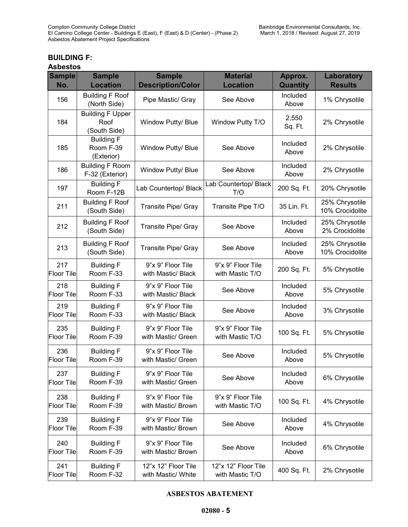## **BUILDING F:**

| <b>Asbestos</b> |  |
|-----------------|--|
|-----------------|--|

| <b>Sample</b><br>No.     | <b>Sample</b><br><b>Location</b>                | <b>Sample</b><br><b>Description/Color</b> | <b>Material</b><br><b>Location</b>     | Approx.<br>Quantity | <b>Laboratory</b><br><b>Results</b> |
|--------------------------|-------------------------------------------------|-------------------------------------------|----------------------------------------|---------------------|-------------------------------------|
| 156                      | <b>Building F Roof</b><br>(North Side)          | Pipe Mastic/ Gray                         | See Above                              | Included<br>Above   | 1% Chrysotile                       |
| 184                      | <b>Building F Upper</b><br>Roof<br>(South Side) | Window Putty/ Blue                        | Window Putty T/O                       | 2,550<br>Sq. Ft.    | 2% Chrysotile                       |
| 185                      | <b>Building F</b><br>Room F-39<br>(Exterior)    | Window Putty/ Blue                        | See Above                              | Included<br>Above   | 2% Chrysotile                       |
| 186                      | <b>Building F Room</b><br>F-32 (Exterior)       | Window Putty/ Blue                        | See Above                              | Included<br>Above   | 2% Chrysotile                       |
| 197                      | <b>Building F</b><br>Room F-12B                 | Lab Countertop/ Black                     | Lab Countertop/ Black<br>T/O           | 200 Sq. Ft.         | 20% Chrysotile                      |
| 211                      | <b>Building F Roof</b><br>(South Side)          | Transite Pipe/ Gray                       | Transite Pipe T/O                      | 35 Lin. Ft.         | 25% Chrysotile<br>10% Crocidolite   |
| 212                      | <b>Building F Roof</b><br>(South Side)          | Transite Pipe/ Gray                       | See Above                              | Included<br>Above   | 25% Chrysotile<br>2% Crocidolite    |
| 213                      | <b>Building F Roof</b><br>(South Side)          | Transite Pipe/ Gray                       | See Above                              | Included<br>Above   | 25% Chrysotile<br>10% Crocidolite   |
| 217<br><b>Floor Tile</b> | <b>Building F</b><br>Room F-33                  | 9"x 9" Floor Tile<br>with Mastic/ Black   | 9"x 9" Floor Tile<br>with Mastic T/O   | 200 Sq. Ft.         | 5% Chrysotile                       |
| 218<br><b>Floor Tile</b> | <b>Building F</b><br>Room F-33                  | 9"x 9" Floor Tile<br>with Mastic/ Black   | See Above                              | Included<br>Above   | 5% Chrysotile                       |
| 219<br><b>Floor Tile</b> | <b>Building F</b><br>Room F-33                  | 9"x 9" Floor Tile<br>with Mastic/ Black   | See Above                              | Included<br>Above   | 3% Chrysotile                       |
| 235<br><b>Floor Tile</b> | <b>Building F</b><br>Room F-39                  | 9"x 9" Floor Tile<br>with Mastic/ Green   | 9"x 9" Floor Tile<br>with Mastic T/O   | 100 Sq. Ft.         | 5% Chrysotile                       |
| 236<br><b>Floor Tile</b> | <b>Building F</b><br>Room F-39                  | 9"x 9" Floor Tile<br>with Mastic/ Green   | See Above                              | Included<br>Above   | 5% Chrysotile                       |
| 237<br><b>Floor Tile</b> | <b>Building F</b><br>Room F-39                  | 9"x 9" Floor Tile<br>with Mastic/ Green   | See Above                              | Included<br>Above   | 6% Chrysotile                       |
| 238<br><b>Floor Tile</b> | <b>Building F</b><br>Room F-39                  | 9"x 9" Floor Tile<br>with Mastic/ Brown   | 9"x 9" Floor Tile<br>with Mastic T/O   | 100 Sq. Ft.         | 4% Chrysotile                       |
| 239<br><b>Floor Tile</b> | <b>Building F</b><br>Room F-39                  | 9"x 9" Floor Tile<br>with Mastic/ Brown   | See Above                              | Included<br>Above   | 4% Chrysotile                       |
| 240<br><b>Floor Tile</b> | <b>Building F</b><br>Room F-39                  | 9"x 9" Floor Tile<br>with Mastic/ Brown   | See Above                              | Included<br>Above   | 6% Chrysotile                       |
| 241<br><b>Floor Tile</b> | <b>Building F</b><br>Room F-32                  | 12"x 12" Floor Tile<br>with Mastic/ White | 12"x 12" Floor Tile<br>with Mastic T/O | 400 Sq. Ft.         | 2% Chrysotile                       |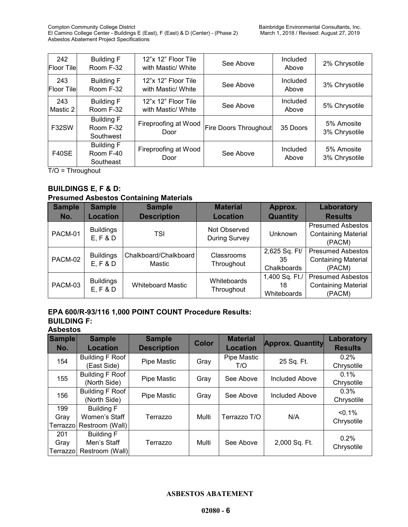| 242<br><b>Floor Tilel</b> | <b>Building F</b><br>Room F-32              | 12"x 12" Floor Tile<br>with Mastic/ White | See Above                    | Included<br>Above | 2% Chrysotile               |
|---------------------------|---------------------------------------------|-------------------------------------------|------------------------------|-------------------|-----------------------------|
| 243<br><b>Floor Tilel</b> | <b>Building F</b><br>Room F-32              | 12"x 12" Floor Tile<br>with Mastic/ White | See Above                    | Included<br>Above | 3% Chrysotile               |
| 243<br>Mastic 2           | <b>Building F</b><br>Room F-32              | 12"x 12" Floor Tile<br>with Mastic/ White | See Above                    | Included<br>Above | 5% Chrysotile               |
| F32SW                     | <b>Building F</b><br>Room F-32<br>Southwest | Fireproofing at Wood<br>Door              | <b>Fire Doors Throughout</b> | 35 Doors          | 5% Amosite<br>3% Chrysotile |
| F40SE                     | <b>Building F</b><br>Room F-40<br>Southeast | Fireproofing at Wood<br>Door              | See Above                    | Included<br>Above | 5% Amosite<br>3% Chrysotile |

 $\overline{T/O}$  = Throughout

## **BUILDINGS E, F & D:**

## **Presumed Asbestos Containing Materials**

| <b>Sample</b><br>No. | <b>Sample</b><br><b>Location</b> | <b>Sample</b><br><b>Description</b> | <b>Material</b><br><b>Location</b>   | Approx.<br>Quantity                 | Laboratory<br><b>Results</b>                                     |
|----------------------|----------------------------------|-------------------------------------|--------------------------------------|-------------------------------------|------------------------------------------------------------------|
| PACM-01              | <b>Buildings</b><br>E, F & D     | TSI                                 | Not Observed<br><b>During Survey</b> | Unknown                             | <b>Presumed Asbestos</b><br><b>Containing Material</b><br>(PACM) |
| PACM-02              | <b>Buildings</b><br>E, F & D     | Chalkboard/Chalkboard<br>Mastic     | Classrooms<br>Throughout             | 2,625 Sq. Ft/<br>35<br>Chalkboards  | <b>Presumed Asbestos</b><br><b>Containing Material</b><br>(PACM) |
| PACM-03              | <b>Buildings</b><br>E, F & D     | <b>Whiteboard Mastic</b>            | Whiteboards<br>Throughout            | 1,400 Sq. Ft./<br>18<br>Whiteboards | <b>Presumed Asbestos</b><br><b>Containing Material</b><br>(PACM) |

## **EPA 600/R-93/116 1,000 POINT COUNT Procedure Results:**

## **BUILDING F:**

**Asbestos**

| <b>Sample</b><br>No.     | <b>Sample</b><br><b>Location</b>                      | <b>Sample</b><br><b>Description</b> | <b>Color</b> | <b>Material</b><br><b>Location</b> | <b>Approx. Quantity</b> | Laboratory<br><b>Results</b> |
|--------------------------|-------------------------------------------------------|-------------------------------------|--------------|------------------------------------|-------------------------|------------------------------|
| 154                      | <b>Building F Roof</b><br>(East Side)                 | Pipe Mastic                         | Gray         | Pipe Mastic<br>T/O                 | 25 Sq. Ft.              | $0.2\%$<br>Chrysotile        |
| 155                      | <b>Building F Roof</b><br>(North Side)                | Pipe Mastic                         | Gray         | See Above                          | Included Above          | $0.1\%$<br>Chrysotile        |
| 156                      | <b>Building F Roof</b><br>(North Side)                | Pipe Mastic                         | Gray         | See Above                          | Included Above          | 0.3%<br>Chrysotile           |
| 199<br>Gray<br>Terrazzol | <b>Building F</b><br>Women's Staff<br>Restroom (Wall) | Terrazzo                            | Multi        | Terrazzo T/O                       | N/A                     | $< 0.1\%$<br>Chrysotile      |
| 201<br>Gray<br>Terrazzol | <b>Building F</b><br>Men's Staff<br>Restroom (Wall)   | Terrazzo                            | Multi        | See Above                          | 2,000 Sq. Ft.           | 0.2%<br>Chrysotile           |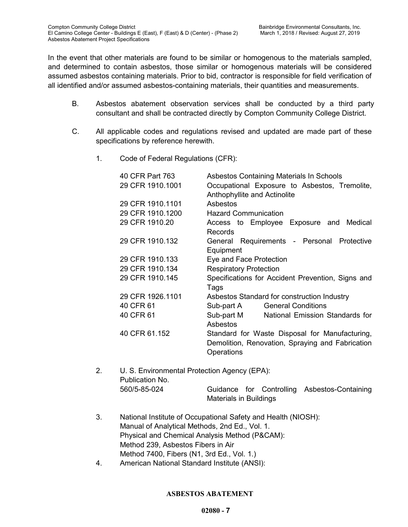In the event that other materials are found to be similar or homogenous to the materials sampled, and determined to contain asbestos, those similar or homogenous materials will be considered assumed asbestos containing materials. Prior to bid, contractor is responsible for field verification of all identified and/or assumed asbestos-containing materials, their quantities and measurements.

- B. Asbestos abatement observation services shall be conducted by a third party consultant and shall be contracted directly by Compton Community College District.
- C. All applicable codes and regulations revised and updated are made part of these specifications by reference herewith.
	- 1. Code of Federal Regulations (CFR):

| 40 CFR Part 763<br>29 CFR 1910.1001 | Asbestos Containing Materials In Schools<br>Occupational Exposure to Asbestos, Tremolite,<br>Anthophyllite and Actinolite |
|-------------------------------------|---------------------------------------------------------------------------------------------------------------------------|
| 29 CFR 1910.1101                    | Asbestos                                                                                                                  |
| 29 CFR 1910.1200                    | <b>Hazard Communication</b>                                                                                               |
| 29 CFR 1910.20                      | Access to Employee Exposure and<br>Medical<br>Records                                                                     |
| 29 CFR 1910.132                     | General Requirements - Personal Protective<br>Equipment                                                                   |
| 29 CFR 1910.133                     | Eye and Face Protection                                                                                                   |
| 29 CFR 1910.134                     | <b>Respiratory Protection</b>                                                                                             |
| 29 CFR 1910.145                     | Specifications for Accident Prevention, Signs and<br>Tags                                                                 |
| 29 CFR 1926.1101                    | Asbestos Standard for construction Industry                                                                               |
| 40 CFR 61                           | <b>General Conditions</b><br>Sub-part A                                                                                   |
| 40 CFR 61                           | Sub-part M<br>National Emission Standards for<br>Asbestos                                                                 |
| 40 CFR 61.152                       | Standard for Waste Disposal for Manufacturing,<br>Demolition, Renovation, Spraying and Fabrication<br>Operations          |

- 2. U. S. Environmental Protection Agency (EPA): Publication No. 560/5-85-024 Guidance for Controlling Asbestos-Containing Materials in Buildings
- 3. National Institute of Occupational Safety and Health (NIOSH): Manual of Analytical Methods, 2nd Ed., Vol. 1. Physical and Chemical Analysis Method (P&CAM): Method 239, Asbestos Fibers in Air Method 7400, Fibers (N1, 3rd Ed., Vol. 1.)
- 4. American National Standard Institute (ANSI):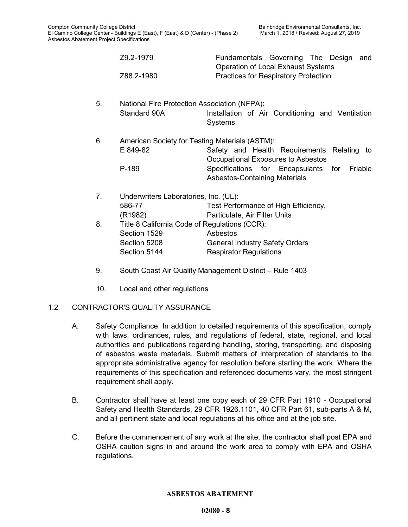|    | Z9.2-1979                                                           | Fundamentals Governing The Design<br>and<br><b>Operation of Local Exhaust Systems</b>                                                                                  |
|----|---------------------------------------------------------------------|------------------------------------------------------------------------------------------------------------------------------------------------------------------------|
|    | Z88.2-1980                                                          | <b>Practices for Respiratory Protection</b>                                                                                                                            |
| 5. | <b>National Fire Protection Association (NFPA):</b><br>Standard 90A | Installation of Air Conditioning and Ventilation<br>Systems.                                                                                                           |
| 6. | American Society for Testing Materials (ASTM):<br>E 849-82<br>P-189 | Safety and Health Requirements<br>Relating to<br>Occupational Exposures to Asbestos<br>Specifications for Encapsulants for<br>Friable<br>Asbestos-Containing Materials |
| 7. | Underwriters Laboratories, Inc. (UL):                               |                                                                                                                                                                        |
|    | 586-77                                                              | Test Performance of High Efficiency,                                                                                                                                   |
|    | (R <sub>1982</sub> )                                                | Particulate, Air Filter Units                                                                                                                                          |
| 8. | Title 8 California Code of Regulations (CCR):                       |                                                                                                                                                                        |
|    | Section 1529                                                        | Asbestos                                                                                                                                                               |
|    | Section 5208                                                        | <b>General Industry Safety Orders</b>                                                                                                                                  |
|    | Section 5144                                                        | <b>Respirator Regulations</b>                                                                                                                                          |

- 9. South Coast Air Quality Management District Rule 1403
- 10. Local and other regulations

## 1.2 CONTRACTOR'S QUALITY ASSURANCE

- A. Safety Compliance: In addition to detailed requirements of this specification, comply with laws, ordinances, rules, and regulations of federal, state, regional, and local authorities and publications regarding handling, storing, transporting, and disposing of asbestos waste materials. Submit matters of interpretation of standards to the appropriate administrative agency for resolution before starting the work. Where the requirements of this specification and referenced documents vary, the most stringent requirement shall apply.
- B. Contractor shall have at least one copy each of 29 CFR Part 1910 Occupational Safety and Health Standards, 29 CFR 1926.1101, 40 CFR Part 61, sub-parts A & M, and all pertinent state and local regulations at his office and at the job site.
- C. Before the commencement of any work at the site, the contractor shall post EPA and OSHA caution signs in and around the work area to comply with EPA and OSHA regulations.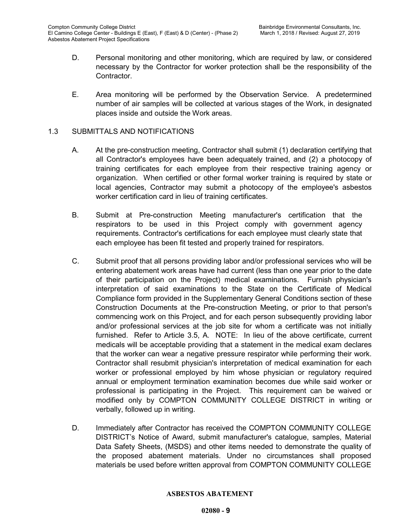- D. Personal monitoring and other monitoring, which are required by law, or considered necessary by the Contractor for worker protection shall be the responsibility of the Contractor.
- E. Area monitoring will be performed by the Observation Service. A predetermined number of air samples will be collected at various stages of the Work, in designated places inside and outside the Work areas.

## 1.3 SUBMITTALS AND NOTIFICATIONS

- A. At the pre-construction meeting, Contractor shall submit (1) declaration certifying that all Contractor's employees have been adequately trained, and (2) a photocopy of training certificates for each employee from their respective training agency or organization. When certified or other formal worker training is required by state or local agencies, Contractor may submit a photocopy of the employee's asbestos worker certification card in lieu of training certificates.
- B. Submit at Pre-construction Meeting manufacturer's certification that the respirators to be used in this Project comply with government agency requirements. Contractor's certifications for each employee must clearly state that each employee has been fit tested and properly trained for respirators.
- C. Submit proof that all persons providing labor and/or professional services who will be entering abatement work areas have had current (less than one year prior to the date of their participation on the Project) medical examinations. Furnish physician's interpretation of said examinations to the State on the Certificate of Medical Compliance form provided in the Supplementary General Conditions section of these Construction Documents at the Pre-construction Meeting, or prior to that person's commencing work on this Project, and for each person subsequently providing labor and/or professional services at the job site for whom a certificate was not initially furnished. Refer to Article 3.5, A. NOTE: In lieu of the above certificate, current medicals will be acceptable providing that a statement in the medical exam declares that the worker can wear a negative pressure respirator while performing their work. Contractor shall resubmit physician's interpretation of medical examination for each worker or professional employed by him whose physician or regulatory required annual or employment termination examination becomes due while said worker or professional is participating in the Project. This requirement can be waived or modified only by COMPTON COMMUNITY COLLEGE DISTRICT in writing or verbally, followed up in writing.
- D. Immediately after Contractor has received the COMPTON COMMUNITY COLLEGE DISTRICT's Notice of Award, submit manufacturer's catalogue, samples, Material Data Safety Sheets, (MSDS) and other items needed to demonstrate the quality of the proposed abatement materials. Under no circumstances shall proposed materials be used before written approval from COMPTON COMMUNITY COLLEGE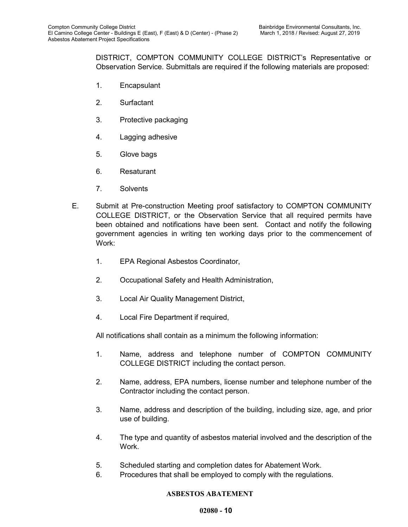DISTRICT, COMPTON COMMUNITY COLLEGE DISTRICT's Representative or Observation Service. Submittals are required if the following materials are proposed:

- 1. Encapsulant
- 2. Surfactant
- 3. Protective packaging
- 4. Lagging adhesive
- 5. Glove bags
- 6. Resaturant
- 7. Solvents
- E. Submit at Pre-construction Meeting proof satisfactory to COMPTON COMMUNITY COLLEGE DISTRICT, or the Observation Service that all required permits have been obtained and notifications have been sent. Contact and notify the following government agencies in writing ten working days prior to the commencement of Work:
	- 1. EPA Regional Asbestos Coordinator,
	- 2. Occupational Safety and Health Administration,
	- 3. Local Air Quality Management District,
	- 4. Local Fire Department if required,

All notifications shall contain as a minimum the following information:

- 1. Name, address and telephone number of COMPTON COMMUNITY COLLEGE DISTRICT including the contact person.
- 2. Name, address, EPA numbers, license number and telephone number of the Contractor including the contact person.
- 3. Name, address and description of the building, including size, age, and prior use of building.
- 4. The type and quantity of asbestos material involved and the description of the **Work**
- 5. Scheduled starting and completion dates for Abatement Work.
- 6. Procedures that shall be employed to comply with the regulations.

## **ASBESTOS ABATEMENT**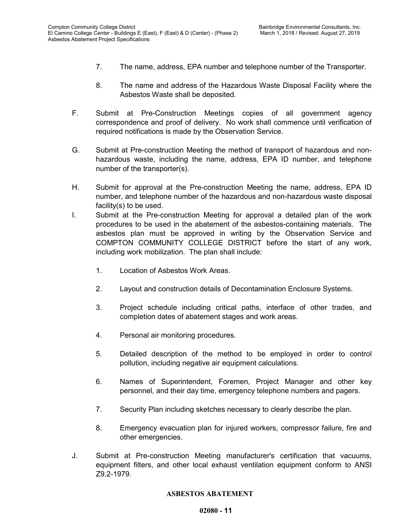- 7. The name, address, EPA number and telephone number of the Transporter.
- 8. The name and address of the Hazardous Waste Disposal Facility where the Asbestos Waste shall be deposited.
- F. Submit at Pre-Construction Meetings copies of all government agency correspondence and proof of delivery. No work shall commence until verification of required notifications is made by the Observation Service.
- G. Submit at Pre-construction Meeting the method of transport of hazardous and nonhazardous waste, including the name, address, EPA ID number, and telephone number of the transporter(s).
- H. Submit for approval at the Pre-construction Meeting the name, address, EPA ID number, and telephone number of the hazardous and non-hazardous waste disposal facility(s) to be used.
- I. Submit at the Pre-construction Meeting for approval a detailed plan of the work procedures to be used in the abatement of the asbestos-containing materials. The asbestos plan must be approved in writing by the Observation Service and COMPTON COMMUNITY COLLEGE DISTRICT before the start of any work, including work mobilization. The plan shall include:
	- 1. Location of Asbestos Work Areas.
	- 2. Layout and construction details of Decontamination Enclosure Systems.
	- 3. Project schedule including critical paths, interface of other trades, and completion dates of abatement stages and work areas.
	- 4. Personal air monitoring procedures.
	- 5. Detailed description of the method to be employed in order to control pollution, including negative air equipment calculations.
	- 6. Names of Superintendent, Foremen, Project Manager and other key personnel, and their day time, emergency telephone numbers and pagers.
	- 7. Security Plan including sketches necessary to clearly describe the plan.
	- 8. Emergency evacuation plan for injured workers, compressor failure, fire and other emergencies.
- J. Submit at Pre-construction Meeting manufacturer's certification that vacuums, equipment filters, and other local exhaust ventilation equipment conform to ANSI Z9.2-1979.

#### **ASBESTOS ABATEMENT**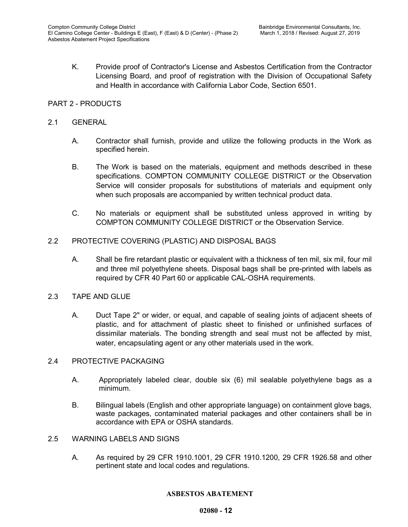K. Provide proof of Contractor's License and Asbestos Certification from the Contractor Licensing Board, and proof of registration with the Division of Occupational Safety and Health in accordance with California Labor Code, Section 6501.

## PART 2 - PRODUCTS

### 2.1 GENERAL

- A. Contractor shall furnish, provide and utilize the following products in the Work as specified herein.
- B. The Work is based on the materials, equipment and methods described in these specifications. COMPTON COMMUNITY COLLEGE DISTRICT or the Observation Service will consider proposals for substitutions of materials and equipment only when such proposals are accompanied by written technical product data.
- C. No materials or equipment shall be substituted unless approved in writing by COMPTON COMMUNITY COLLEGE DISTRICT or the Observation Service.
- 2.2 PROTECTIVE COVERING (PLASTIC) AND DISPOSAL BAGS
	- A. Shall be fire retardant plastic or equivalent with a thickness of ten mil, six mil, four mil and three mil polyethylene sheets. Disposal bags shall be pre-printed with labels as required by CFR 40 Part 60 or applicable CAL-OSHA requirements.
- 2.3 TAPE AND GLUE
	- A. Duct Tape 2" or wider, or equal, and capable of sealing joints of adjacent sheets of plastic, and for attachment of plastic sheet to finished or unfinished surfaces of dissimilar materials. The bonding strength and seal must not be affected by mist, water, encapsulating agent or any other materials used in the work.

#### 2.4 PROTECTIVE PACKAGING

- A. Appropriately labeled clear, double six (6) mil sealable polyethylene bags as a minimum.
- B. Bilingual labels (English and other appropriate language) on containment glove bags, waste packages, contaminated material packages and other containers shall be in accordance with EPA or OSHA standards.
- 2.5 WARNING LABELS AND SIGNS
	- A. As required by 29 CFR 1910.1001, 29 CFR 1910.1200, 29 CFR 1926.58 and other pertinent state and local codes and regulations.

#### **ASBESTOS ABATEMENT**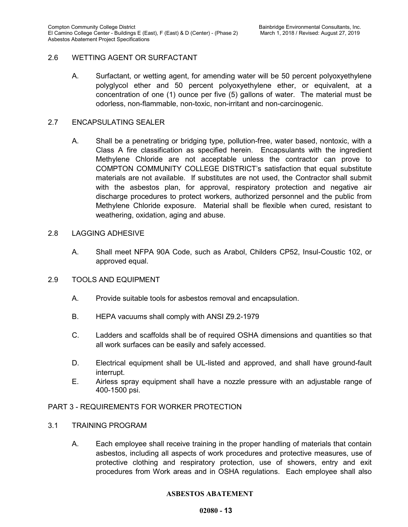## 2.6 WETTING AGENT OR SURFACTANT

A. Surfactant, or wetting agent, for amending water will be 50 percent polyoxyethylene polyglycol ether and 50 percent polyoxyethylene ether, or equivalent, at a concentration of one (1) ounce per five (5) gallons of water. The material must be odorless, non-flammable, non-toxic, non-irritant and non-carcinogenic.

### 2.7 ENCAPSULATING SEALER

A. Shall be a penetrating or bridging type, pollution-free, water based, nontoxic, with a Class A fire classification as specified herein. Encapsulants with the ingredient Methylene Chloride are not acceptable unless the contractor can prove to COMPTON COMMUNITY COLLEGE DISTRICT's satisfaction that equal substitute materials are not available. If substitutes are not used, the Contractor shall submit with the asbestos plan, for approval, respiratory protection and negative air discharge procedures to protect workers, authorized personnel and the public from Methylene Chloride exposure. Material shall be flexible when cured, resistant to weathering, oxidation, aging and abuse.

#### 2.8 LAGGING ADHESIVE

A. Shall meet NFPA 90A Code, such as Arabol, Childers CP52, Insul-Coustic 102, or approved equal.

## 2.9 TOOLS AND EQUIPMENT

- A. Provide suitable tools for asbestos removal and encapsulation.
- B. HEPA vacuums shall comply with ANSI Z9.2-1979
- C. Ladders and scaffolds shall be of required OSHA dimensions and quantities so that all work surfaces can be easily and safely accessed.
- D. Electrical equipment shall be UL-listed and approved, and shall have ground-fault interrupt.
- E. Airless spray equipment shall have a nozzle pressure with an adjustable range of 400-1500 psi.

#### PART 3 - REQUIREMENTS FOR WORKER PROTECTION

#### 3.1 TRAINING PROGRAM

A. Each employee shall receive training in the proper handling of materials that contain asbestos, including all aspects of work procedures and protective measures, use of protective clothing and respiratory protection, use of showers, entry and exit procedures from Work areas and in OSHA regulations. Each employee shall also

#### **ASBESTOS ABATEMENT**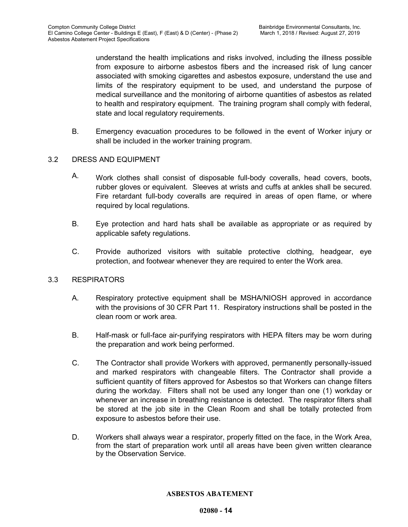understand the health implications and risks involved, including the illness possible from exposure to airborne asbestos fibers and the increased risk of lung cancer associated with smoking cigarettes and asbestos exposure, understand the use and limits of the respiratory equipment to be used, and understand the purpose of medical surveillance and the monitoring of airborne quantities of asbestos as related to health and respiratory equipment. The training program shall comply with federal, state and local regulatory requirements.

B. Emergency evacuation procedures to be followed in the event of Worker injury or shall be included in the worker training program.

## 3.2 DRESS AND EQUIPMENT

- A. Work clothes shall consist of disposable full-body coveralls, head covers, boots, rubber gloves or equivalent. Sleeves at wrists and cuffs at ankles shall be secured. Fire retardant full-body coveralls are required in areas of open flame, or where required by local regulations.
- B. Eye protection and hard hats shall be available as appropriate or as required by applicable safety regulations.
- C. Provide authorized visitors with suitable protective clothing, headgear, eye protection, and footwear whenever they are required to enter the Work area.

#### 3.3 RESPIRATORS

- A. Respiratory protective equipment shall be MSHA/NIOSH approved in accordance with the provisions of 30 CFR Part 11. Respiratory instructions shall be posted in the clean room or work area.
- B. Half-mask or full-face air-purifying respirators with HEPA filters may be worn during the preparation and work being performed.
- C. The Contractor shall provide Workers with approved, permanently personally-issued and marked respirators with changeable filters. The Contractor shall provide a sufficient quantity of filters approved for Asbestos so that Workers can change filters during the workday. Filters shall not be used any longer than one (1) workday or whenever an increase in breathing resistance is detected. The respirator filters shall be stored at the job site in the Clean Room and shall be totally protected from exposure to asbestos before their use.
- D. Workers shall always wear a respirator, properly fitted on the face, in the Work Area, from the start of preparation work until all areas have been given written clearance by the Observation Service.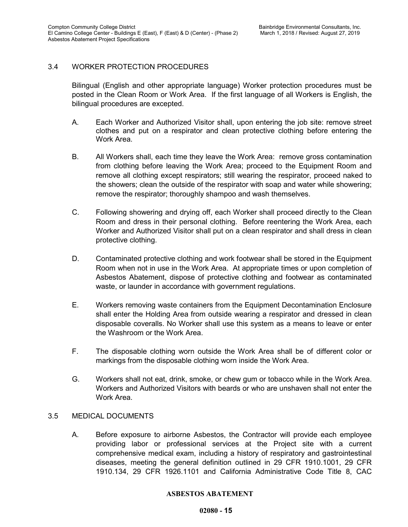## 3.4 WORKER PROTECTION PROCEDURES

Bilingual (English and other appropriate language) Worker protection procedures must be posted in the Clean Room or Work Area. If the first language of all Workers is English, the bilingual procedures are excepted.

- A. Each Worker and Authorized Visitor shall, upon entering the job site: remove street clothes and put on a respirator and clean protective clothing before entering the Work Area.
- B. All Workers shall, each time they leave the Work Area: remove gross contamination from clothing before leaving the Work Area; proceed to the Equipment Room and remove all clothing except respirators; still wearing the respirator, proceed naked to the showers; clean the outside of the respirator with soap and water while showering; remove the respirator; thoroughly shampoo and wash themselves.
- C. Following showering and drying off, each Worker shall proceed directly to the Clean Room and dress in their personal clothing. Before reentering the Work Area, each Worker and Authorized Visitor shall put on a clean respirator and shall dress in clean protective clothing.
- D. Contaminated protective clothing and work footwear shall be stored in the Equipment Room when not in use in the Work Area. At appropriate times or upon completion of Asbestos Abatement, dispose of protective clothing and footwear as contaminated waste, or launder in accordance with government regulations.
- E. Workers removing waste containers from the Equipment Decontamination Enclosure shall enter the Holding Area from outside wearing a respirator and dressed in clean disposable coveralls. No Worker shall use this system as a means to leave or enter the Washroom or the Work Area.
- F. The disposable clothing worn outside the Work Area shall be of different color or markings from the disposable clothing worn inside the Work Area.
- G. Workers shall not eat, drink, smoke, or chew gum or tobacco while in the Work Area. Workers and Authorized Visitors with beards or who are unshaven shall not enter the Work Area.

#### 3.5 MEDICAL DOCUMENTS

A. Before exposure to airborne Asbestos, the Contractor will provide each employee providing labor or professional services at the Project site with a current comprehensive medical exam, including a history of respiratory and gastrointestinal diseases, meeting the general definition outlined in 29 CFR 1910.1001, 29 CFR 1910.134, 29 CFR 1926.1101 and California Administrative Code Title 8, CAC

#### **ASBESTOS ABATEMENT**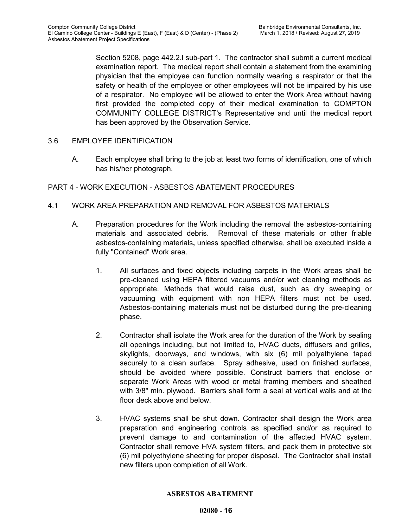Section 5208, page 442.2.l sub-part 1. The contractor shall submit a current medical examination report. The medical report shall contain a statement from the examining physician that the employee can function normally wearing a respirator or that the safety or health of the employee or other employees will not be impaired by his use of a respirator. No employee will be allowed to enter the Work Area without having first provided the completed copy of their medical examination to COMPTON COMMUNITY COLLEGE DISTRICT's Representative and until the medical report has been approved by the Observation Service.

## 3.6 EMPLOYEE IDENTIFICATION

A. Each employee shall bring to the job at least two forms of identification, one of which has his/her photograph.

## PART 4 - WORK EXECUTION - ASBESTOS ABATEMENT PROCEDURES

## 4.1 WORK AREA PREPARATION AND REMOVAL FOR ASBESTOS MATERIALS

- A. Preparation procedures for the Work including the removal the asbestos-containing materials and associated debris. Removal of these materials or other friable asbestos-containing materials**,** unless specified otherwise, shall be executed inside a fully "Contained" Work area.
	- 1. All surfaces and fixed objects including carpets in the Work areas shall be pre-cleaned using HEPA filtered vacuums and/or wet cleaning methods as appropriate. Methods that would raise dust, such as dry sweeping or vacuuming with equipment with non HEPA filters must not be used. Asbestos-containing materials must not be disturbed during the pre-cleaning phase.
	- 2. Contractor shall isolate the Work area for the duration of the Work by sealing all openings including, but not limited to, HVAC ducts, diffusers and grilles, skylights, doorways, and windows, with six (6) mil polyethylene taped securely to a clean surface. Spray adhesive, used on finished surfaces, should be avoided where possible. Construct barriers that enclose or separate Work Areas with wood or metal framing members and sheathed with 3/8" min. plywood. Barriers shall form a seal at vertical walls and at the floor deck above and below.
	- 3. HVAC systems shall be shut down. Contractor shall design the Work area preparation and engineering controls as specified and/or as required to prevent damage to and contamination of the affected HVAC system. Contractor shall remove HVA system filters, and pack them in protective six (6) mil polyethylene sheeting for proper disposal. The Contractor shall install new filters upon completion of all Work.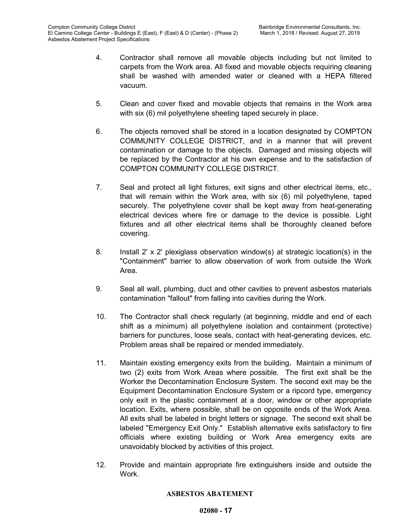- 4. Contractor shall remove all movable objects including but not limited to carpets from the Work area. All fixed and movable objects requiring cleaning shall be washed with amended water or cleaned with a HEPA filtered vacuum.
- 5. Clean and cover fixed and movable objects that remains in the Work area with six (6) mil polyethylene sheeting taped securely in place.
- 6. The objects removed shall be stored in a location designated by COMPTON COMMUNITY COLLEGE DISTRICT, and in a manner that will prevent contamination or damage to the objects. Damaged and missing objects will be replaced by the Contractor at his own expense and to the satisfaction of COMPTON COMMUNITY COLLEGE DISTRICT.
- 7. Seal and protect all light fixtures, exit signs and other electrical items, etc., that will remain within the Work area, with six (6) mil polyethylene, taped securely. The polyethylene cover shall be kept away from heat-generating electrical devices where fire or damage to the device is possible. Light fixtures and all other electrical items shall be thoroughly cleaned before covering.
- 8. Install 2' x 2' plexiglass observation window(s) at strategic location(s) in the "Containment" barrier to allow observation of work from outside the Work Area.
- 9. Seal all wall, plumbing, duct and other cavities to prevent asbestos materials contamination "fallout" from falling into cavities during the Work.
- 10. The Contractor shall check regularly (at beginning, middle and end of each shift as a minimum) all polyethylene isolation and containment (protective) barriers for punctures, loose seals, contact with heat-generating devices, etc. Problem areas shall be repaired or mended immediately.
- 11. Maintain existing emergency exits from the building**.** Maintain a minimum of two (2) exits from Work Areas where possible. The first exit shall be the Worker the Decontamination Enclosure System. The second exit may be the Equipment Decontamination Enclosure System or a ripcord type, emergency only exit in the plastic containment at a door, window or other appropriate location. Exits, where possible, shall be on opposite ends of the Work Area. All exits shall be labeled in bright letters or signage. The second exit shall be labeled "Emergency Exit Only." Establish alternative exits satisfactory to fire officials where existing building or Work Area emergency exits are unavoidably blocked by activities of this project.
- 12. Provide and maintain appropriate fire extinguishers inside and outside the **Work**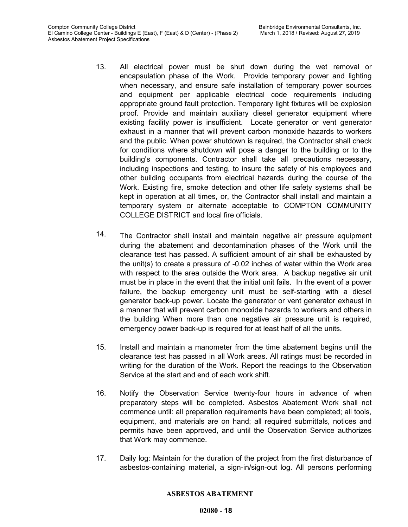- 13. All electrical power must be shut down during the wet removal or encapsulation phase of the Work. Provide temporary power and lighting when necessary, and ensure safe installation of temporary power sources and equipment per applicable electrical code requirements including appropriate ground fault protection. Temporary light fixtures will be explosion proof. Provide and maintain auxiliary diesel generator equipment where existing facility power is insufficient. Locate generator or vent generator exhaust in a manner that will prevent carbon monoxide hazards to workers and the public. When power shutdown is required, the Contractor shall check for conditions where shutdown will pose a danger to the building or to the building's components. Contractor shall take all precautions necessary, including inspections and testing, to insure the safety of his employees and other building occupants from electrical hazards during the course of the Work. Existing fire, smoke detection and other life safety systems shall be kept in operation at all times, or, the Contractor shall install and maintain a temporary system or alternate acceptable to COMPTON COMMUNITY COLLEGE DISTRICT and local fire officials.
- 14. The Contractor shall install and maintain negative air pressure equipment during the abatement and decontamination phases of the Work until the clearance test has passed. A sufficient amount of air shall be exhausted by the unit(s) to create a pressure of -0.02 inches of water within the Work area with respect to the area outside the Work area. A backup negative air unit must be in place in the event that the initial unit fails. In the event of a power failure, the backup emergency unit must be self-starting with a diesel generator back-up power. Locate the generator or vent generator exhaust in a manner that will prevent carbon monoxide hazards to workers and others in the building When more than one negative air pressure unit is required, emergency power back-up is required for at least half of all the units.
- 15. Install and maintain a manometer from the time abatement begins until the clearance test has passed in all Work areas. All ratings must be recorded in writing for the duration of the Work. Report the readings to the Observation Service at the start and end of each work shift.
- 16. Notify the Observation Service twenty-four hours in advance of when preparatory steps will be completed. Asbestos Abatement Work shall not commence until: all preparation requirements have been completed; all tools, equipment, and materials are on hand; all required submittals, notices and permits have been approved, and until the Observation Service authorizes that Work may commence.
- 17. Daily log: Maintain for the duration of the project from the first disturbance of asbestos-containing material, a sign-in/sign-out log. All persons performing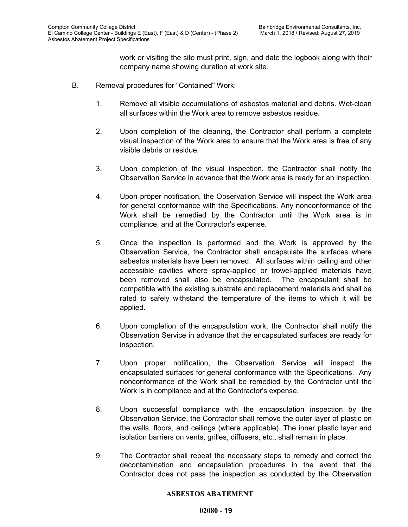work or visiting the site must print, sign, and date the logbook along with their company name showing duration at work site.

- B. Removal procedures for "Contained" Work:
	- 1. Remove all visible accumulations of asbestos material and debris. Wet-clean all surfaces within the Work area to remove asbestos residue.
	- 2. Upon completion of the cleaning, the Contractor shall perform a complete visual inspection of the Work area to ensure that the Work area is free of any visible debris or residue.
	- 3. Upon completion of the visual inspection, the Contractor shall notify the Observation Service in advance that the Work area is ready for an inspection.
	- 4. Upon proper notification, the Observation Service will inspect the Work area for general conformance with the Specifications. Any nonconformance of the Work shall be remedied by the Contractor until the Work area is in compliance, and at the Contractor's expense.
	- 5. Once the inspection is performed and the Work is approved by the Observation Service, the Contractor shall encapsulate the surfaces where asbestos materials have been removed. All surfaces within ceiling and other accessible cavities where spray-applied or trowel-applied materials have been removed shall also be encapsulated. The encapsulant shall be compatible with the existing substrate and replacement materials and shall be rated to safely withstand the temperature of the items to which it will be applied.
	- 6. Upon completion of the encapsulation work, the Contractor shall notify the Observation Service in advance that the encapsulated surfaces are ready for inspection.
	- 7. Upon proper notification, the Observation Service will inspect the encapsulated surfaces for general conformance with the Specifications. Any nonconformance of the Work shall be remedied by the Contractor until the Work is in compliance and at the Contractor's expense.
	- 8. Upon successful compliance with the encapsulation inspection by the Observation Service, the Contractor shall remove the outer layer of plastic on the walls, floors, and ceilings (where applicable). The inner plastic layer and isolation barriers on vents, grilles, diffusers, etc., shall remain in place.
	- 9. The Contractor shall repeat the necessary steps to remedy and correct the decontamination and encapsulation procedures in the event that the Contractor does not pass the inspection as conducted by the Observation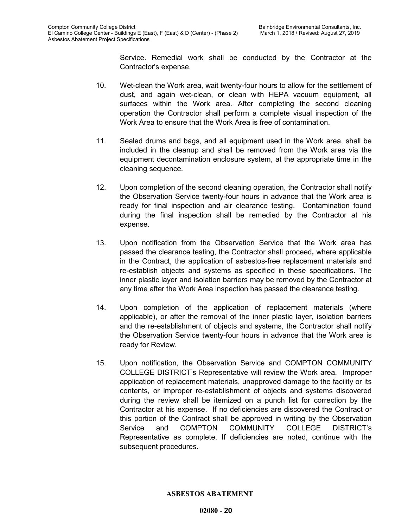Service. Remedial work shall be conducted by the Contractor at the Contractor's expense.

- 10. Wet-clean the Work area, wait twenty-four hours to allow for the settlement of dust, and again wet-clean, or clean with HEPA vacuum equipment, all surfaces within the Work area. After completing the second cleaning operation the Contractor shall perform a complete visual inspection of the Work Area to ensure that the Work Area is free of contamination.
- 11. Sealed drums and bags, and all equipment used in the Work area, shall be included in the cleanup and shall be removed from the Work area via the equipment decontamination enclosure system, at the appropriate time in the cleaning sequence.
- 12. Upon completion of the second cleaning operation, the Contractor shall notify the Observation Service twenty-four hours in advance that the Work area is ready for final inspection and air clearance testing. Contamination found during the final inspection shall be remedied by the Contractor at his expense.
- 13. Upon notification from the Observation Service that the Work area has passed the clearance testing, the Contractor shall proceed*,* where applicable in the Contract, the application of asbestos-free replacement materials and re-establish objects and systems as specified in these specifications. The inner plastic layer and isolation barriers may be removed by the Contractor at any time after the Work Area inspection has passed the clearance testing.
- 14. Upon completion of the application of replacement materials (where applicable), or after the removal of the inner plastic layer, isolation barriers and the re-establishment of objects and systems, the Contractor shall notify the Observation Service twenty-four hours in advance that the Work area is ready for Review.
- 15. Upon notification, the Observation Service and COMPTON COMMUNITY COLLEGE DISTRICT's Representative will review the Work area. Improper application of replacement materials, unapproved damage to the facility or its contents, or improper re-establishment of objects and systems discovered during the review shall be itemized on a punch list for correction by the Contractor at his expense. If no deficiencies are discovered the Contract or this portion of the Contract shall be approved in writing by the Observation Service and COMPTON COMMUNITY COLLEGE DISTRICT's Representative as complete. If deficiencies are noted, continue with the subsequent procedures.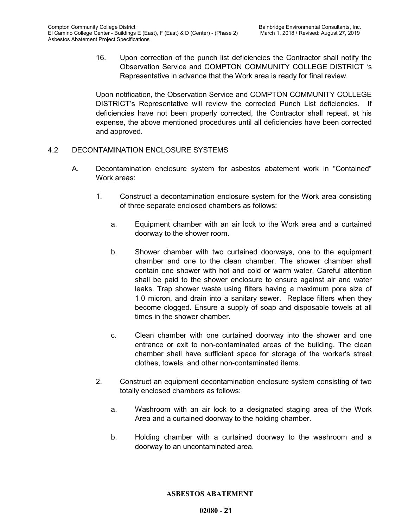16. Upon correction of the punch list deficiencies the Contractor shall notify the Observation Service and COMPTON COMMUNITY COLLEGE DISTRICT 's Representative in advance that the Work area is ready for final review.

Upon notification, the Observation Service and COMPTON COMMUNITY COLLEGE DISTRICT's Representative will review the corrected Punch List deficiencies. If deficiencies have not been properly corrected, the Contractor shall repeat, at his expense, the above mentioned procedures until all deficiencies have been corrected and approved.

## 4.2 DECONTAMINATION ENCLOSURE SYSTEMS

- A. Decontamination enclosure system for asbestos abatement work in "Contained" Work areas:
	- 1. Construct a decontamination enclosure system for the Work area consisting of three separate enclosed chambers as follows:
		- a. Equipment chamber with an air lock to the Work area and a curtained doorway to the shower room.
		- b. Shower chamber with two curtained doorways, one to the equipment chamber and one to the clean chamber. The shower chamber shall contain one shower with hot and cold or warm water. Careful attention shall be paid to the shower enclosure to ensure against air and water leaks. Trap shower waste using filters having a maximum pore size of 1.0 micron, and drain into a sanitary sewer. Replace filters when they become clogged. Ensure a supply of soap and disposable towels at all times in the shower chamber.
		- c. Clean chamber with one curtained doorway into the shower and one entrance or exit to non-contaminated areas of the building. The clean chamber shall have sufficient space for storage of the worker's street clothes, towels, and other non-contaminated items.
	- 2. Construct an equipment decontamination enclosure system consisting of two totally enclosed chambers as follows:
		- a. Washroom with an air lock to a designated staging area of the Work Area and a curtained doorway to the holding chamber.
		- b. Holding chamber with a curtained doorway to the washroom and a doorway to an uncontaminated area.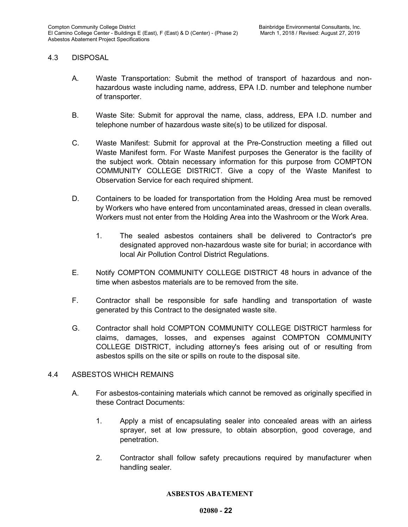#### 4.3 DISPOSAL

- A. Waste Transportation: Submit the method of transport of hazardous and nonhazardous waste including name, address, EPA I.D. number and telephone number of transporter.
- B. Waste Site: Submit for approval the name, class, address, EPA I.D. number and telephone number of hazardous waste site(s) to be utilized for disposal.
- C. Waste Manifest: Submit for approval at the Pre-Construction meeting a filled out Waste Manifest form. For Waste Manifest purposes the Generator is the facility of the subject work. Obtain necessary information for this purpose from COMPTON COMMUNITY COLLEGE DISTRICT. Give a copy of the Waste Manifest to Observation Service for each required shipment.
- D. Containers to be loaded for transportation from the Holding Area must be removed by Workers who have entered from uncontaminated areas, dressed in clean overalls. Workers must not enter from the Holding Area into the Washroom or the Work Area.
	- 1. The sealed asbestos containers shall be delivered to Contractor's pre designated approved non-hazardous waste site for burial; in accordance with local Air Pollution Control District Regulations.
- E. Notify COMPTON COMMUNITY COLLEGE DISTRICT 48 hours in advance of the time when asbestos materials are to be removed from the site.
- F. Contractor shall be responsible for safe handling and transportation of waste generated by this Contract to the designated waste site.
- G. Contractor shall hold COMPTON COMMUNITY COLLEGE DISTRICT harmless for claims, damages, losses, and expenses against COMPTON COMMUNITY COLLEGE DISTRICT, including attorney's fees arising out of or resulting from asbestos spills on the site or spills on route to the disposal site.

#### 4.4 ASBESTOS WHICH REMAINS

- A. For asbestos-containing materials which cannot be removed as originally specified in these Contract Documents:
	- 1. Apply a mist of encapsulating sealer into concealed areas with an airless sprayer, set at low pressure, to obtain absorption, good coverage, and penetration.
	- 2. Contractor shall follow safety precautions required by manufacturer when handling sealer.

#### **ASBESTOS ABATEMENT**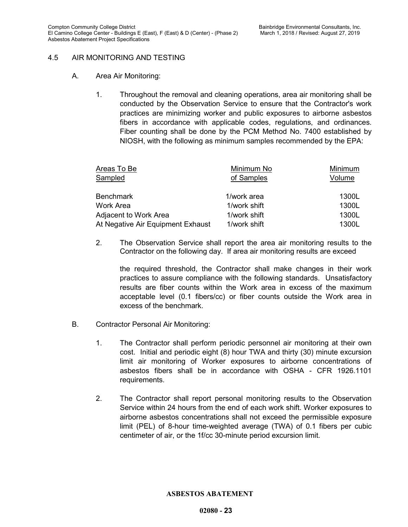## 4.5 AIR MONITORING AND TESTING

- A. Area Air Monitoring:
	- 1. Throughout the removal and cleaning operations, area air monitoring shall be conducted by the Observation Service to ensure that the Contractor's work practices are minimizing worker and public exposures to airborne asbestos fibers in accordance with applicable codes, regulations, and ordinances. Fiber counting shall be done by the PCM Method No. 7400 established by NIOSH, with the following as minimum samples recommended by the EPA:

| Minimum No   | Minimum |
|--------------|---------|
| of Samples   | Volume  |
| 1/work area  | 1300L   |
| 1/work shift | 1300L   |
| 1/work shift | 1300L   |
| 1/work shift | 1300L   |
|              |         |

2. The Observation Service shall report the area air monitoring results to the Contractor on the following day. If area air monitoring results are exceed

the required threshold, the Contractor shall make changes in their work practices to assure compliance with the following standards. Unsatisfactory results are fiber counts within the Work area in excess of the maximum acceptable level (0.1 fibers/cc) or fiber counts outside the Work area in excess of the benchmark.

- B. Contractor Personal Air Monitoring:
	- 1. The Contractor shall perform periodic personnel air monitoring at their own cost. Initial and periodic eight (8) hour TWA and thirty (30) minute excursion limit air monitoring of Worker exposures to airborne concentrations of asbestos fibers shall be in accordance with OSHA - CFR 1926.1101 requirements.
	- 2. The Contractor shall report personal monitoring results to the Observation Service within 24 hours from the end of each work shift. Worker exposures to airborne asbestos concentrations shall not exceed the permissible exposure limit (PEL) of 8-hour time-weighted average (TWA) of 0.1 fibers per cubic centimeter of air, or the 1f/cc 30-minute period excursion limit.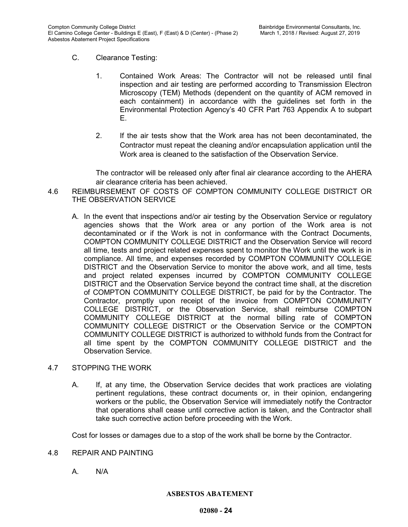- C. Clearance Testing:
	- 1. Contained Work Areas: The Contractor will not be released until final inspection and air testing are performed according to Transmission Electron Microscopy (TEM) Methods (dependent on the quantity of ACM removed in each containment) in accordance with the guidelines set forth in the Environmental Protection Agency's 40 CFR Part 763 Appendix A to subpart E.
	- 2. If the air tests show that the Work area has not been decontaminated, the Contractor must repeat the cleaning and/or encapsulation application until the Work area is cleaned to the satisfaction of the Observation Service.

The contractor will be released only after final air clearance according to the AHERA air clearance criteria has been achieved.

- 4.6 REIMBURSEMENT OF COSTS OF COMPTON COMMUNITY COLLEGE DISTRICT OR THE OBSERVATION SERVICE
	- A. In the event that inspections and/or air testing by the Observation Service or regulatory agencies shows that the Work area or any portion of the Work area is not decontaminated or if the Work is not in conformance with the Contract Documents, COMPTON COMMUNITY COLLEGE DISTRICT and the Observation Service will record all time, tests and project related expenses spent to monitor the Work until the work is in compliance. All time, and expenses recorded by COMPTON COMMUNITY COLLEGE DISTRICT and the Observation Service to monitor the above work, and all time, tests and project related expenses incurred by COMPTON COMMUNITY COLLEGE DISTRICT and the Observation Service beyond the contract time shall, at the discretion of COMPTON COMMUNITY COLLEGE DISTRICT, be paid for by the Contractor. The Contractor, promptly upon receipt of the invoice from COMPTON COMMUNITY COLLEGE DISTRICT, or the Observation Service, shall reimburse COMPTON COMMUNITY COLLEGE DISTRICT at the normal billing rate of COMPTON COMMUNITY COLLEGE DISTRICT or the Observation Service or the COMPTON COMMUNITY COLLEGE DISTRICT is authorized to withhold funds from the Contract for all time spent by the COMPTON COMMUNITY COLLEGE DISTRICT and the Observation Service.

## 4.7 STOPPING THE WORK

A. If, at any time, the Observation Service decides that work practices are violating pertinent regulations, these contract documents or, in their opinion, endangering workers or the public, the Observation Service will immediately notify the Contractor that operations shall cease until corrective action is taken, and the Contractor shall take such corrective action before proceeding with the Work.

Cost for losses or damages due to a stop of the work shall be borne by the Contractor.

- 4.8 REPAIR AND PAINTING
	- A. N/A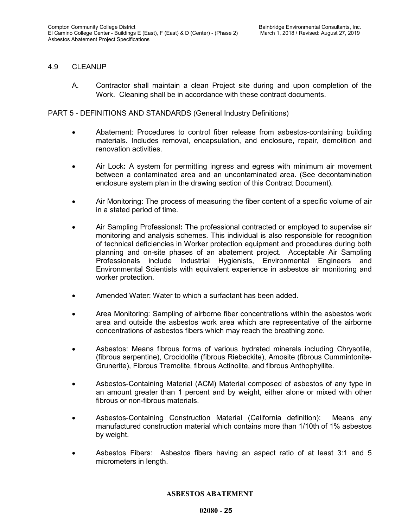## 4.9 CLEANUP

A. Contractor shall maintain a clean Project site during and upon completion of the Work. Cleaning shall be in accordance with these contract documents.

PART 5 - DEFINITIONS AND STANDARDS (General Industry Definitions)

- Abatement: Procedures to control fiber release from asbestos-containing building materials. Includes removal, encapsulation, and enclosure, repair, demolition and renovation activities.
- Air Lock**:** A system for permitting ingress and egress with minimum air movement between a contaminated area and an uncontaminated area. (See decontamination enclosure system plan in the drawing section of this Contract Document).
- Air Monitoring: The process of measuring the fiber content of a specific volume of air in a stated period of time.
- Air Sampling Professional**:** The professional contracted or employed to supervise air monitoring and analysis schemes. This individual is also responsible for recognition of technical deficiencies in Worker protection equipment and procedures during both planning and on-site phases of an abatement project. Acceptable Air Sampling Professionals include Industrial Hygienists, Environmental Engineers and Environmental Scientists with equivalent experience in asbestos air monitoring and worker protection.
- Amended Water: Water to which a surfactant has been added.
- Area Monitoring: Sampling of airborne fiber concentrations within the asbestos work area and outside the asbestos work area which are representative of the airborne concentrations of asbestos fibers which may reach the breathing zone.
- Asbestos: Means fibrous forms of various hydrated minerals including Chrysotile, (fibrous serpentine), Crocidolite (fibrous Riebeckite), Amosite (fibrous Cummintonite-Grunerite), Fibrous Tremolite, fibrous Actinolite, and fibrous Anthophyllite.
- Asbestos-Containing Material (ACM) Material composed of asbestos of any type in an amount greater than 1 percent and by weight, either alone or mixed with other fibrous or non-fibrous materials.
- Asbestos-Containing Construction Material (California definition): Means any manufactured construction material which contains more than 1/10th of 1% asbestos by weight.
- Asbestos Fibers: Asbestos fibers having an aspect ratio of at least 3:1 and 5 micrometers in length.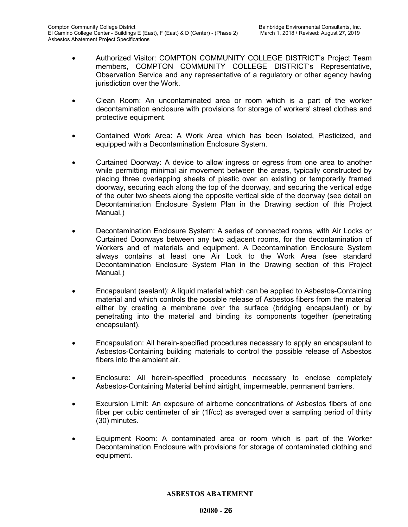- Authorized Visitor: COMPTON COMMUNITY COLLEGE DISTRICT's Project Team members, COMPTON COMMUNITY COLLEGE DISTRICT's Representative, Observation Service and any representative of a regulatory or other agency having jurisdiction over the Work.
- Clean Room: An uncontaminated area or room which is a part of the worker decontamination enclosure with provisions for storage of workers' street clothes and protective equipment.
- Contained Work Area: A Work Area which has been Isolated, Plasticized, and equipped with a Decontamination Enclosure System.
- Curtained Doorway: A device to allow ingress or egress from one area to another while permitting minimal air movement between the areas, typically constructed by placing three overlapping sheets of plastic over an existing or temporarily framed doorway, securing each along the top of the doorway, and securing the vertical edge of the outer two sheets along the opposite vertical side of the doorway (see detail on Decontamination Enclosure System Plan in the Drawing section of this Project Manual.)
- Decontamination Enclosure System: A series of connected rooms, with Air Locks or Curtained Doorways between any two adjacent rooms, for the decontamination of Workers and of materials and equipment. A Decontamination Enclosure System always contains at least one Air Lock to the Work Area (see standard Decontamination Enclosure System Plan in the Drawing section of this Project Manual.)
- Encapsulant (sealant): A liquid material which can be applied to Asbestos-Containing material and which controls the possible release of Asbestos fibers from the material either by creating a membrane over the surface (bridging encapsulant) or by penetrating into the material and binding its components together (penetrating encapsulant).
- Encapsulation: All herein-specified procedures necessary to apply an encapsulant to Asbestos-Containing building materials to control the possible release of Asbestos fibers into the ambient air.
- Enclosure: All herein-specified procedures necessary to enclose completely Asbestos-Containing Material behind airtight, impermeable, permanent barriers.
- Excursion Limit: An exposure of airborne concentrations of Asbestos fibers of one fiber per cubic centimeter of air (1f/cc) as averaged over a sampling period of thirty (30) minutes.
- Equipment Room: A contaminated area or room which is part of the Worker Decontamination Enclosure with provisions for storage of contaminated clothing and equipment.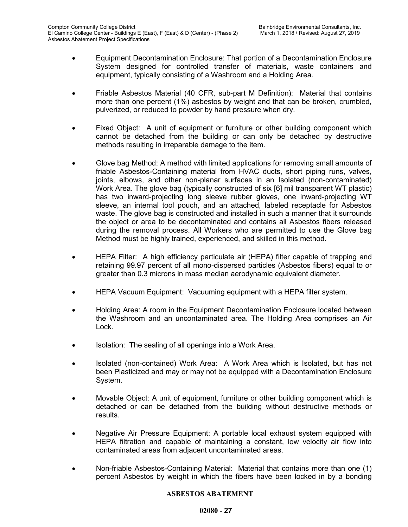- Equipment Decontamination Enclosure: That portion of a Decontamination Enclosure System designed for controlled transfer of materials, waste containers and equipment, typically consisting of a Washroom and a Holding Area.
- Friable Asbestos Material (40 CFR, sub-part M Definition): Material that contains more than one percent (1%) asbestos by weight and that can be broken, crumbled, pulverized, or reduced to powder by hand pressure when dry.
- Fixed Object: A unit of equipment or furniture or other building component which cannot be detached from the building or can only be detached by destructive methods resulting in irreparable damage to the item.
- Glove bag Method: A method with limited applications for removing small amounts of friable Asbestos-Containing material from HVAC ducts, short piping runs, valves, joints, elbows, and other non-planar surfaces in an Isolated (non-contaminated) Work Area. The glove bag (typically constructed of six [6] mil transparent WT plastic) has two inward-projecting long sleeve rubber gloves, one inward-projecting WT sleeve, an internal tool pouch, and an attached, labeled receptacle for Asbestos waste. The glove bag is constructed and installed in such a manner that it surrounds the object or area to be decontaminated and contains all Asbestos fibers released during the removal process. All Workers who are permitted to use the Glove bag Method must be highly trained, experienced, and skilled in this method.
- HEPA Filter: A high efficiency particulate air (HEPA) filter capable of trapping and retaining 99.97 percent of all mono-dispersed particles (Asbestos fibers) equal to or greater than 0.3 microns in mass median aerodynamic equivalent diameter.
- HEPA Vacuum Equipment: Vacuuming equipment with a HEPA filter system.
- Holding Area: A room in the Equipment Decontamination Enclosure located between the Washroom and an uncontaminated area. The Holding Area comprises an Air Lock.
- Isolation: The sealing of all openings into a Work Area.
- Isolated (non-contained) Work Area: A Work Area which is Isolated, but has not been Plasticized and may or may not be equipped with a Decontamination Enclosure System.
- Movable Object: A unit of equipment, furniture or other building component which is detached or can be detached from the building without destructive methods or results.
- Negative Air Pressure Equipment: A portable local exhaust system equipped with HEPA filtration and capable of maintaining a constant, low velocity air flow into contaminated areas from adjacent uncontaminated areas.
- Non-friable Asbestos-Containing Material: Material that contains more than one (1) percent Asbestos by weight in which the fibers have been locked in by a bonding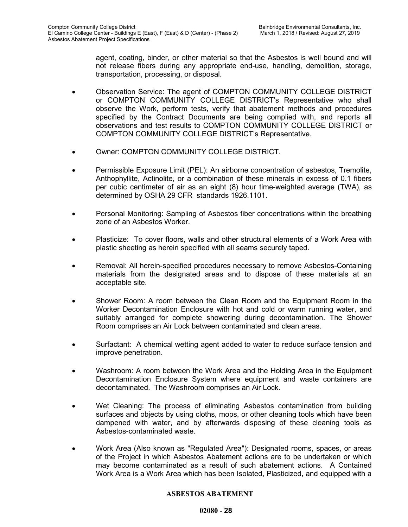agent, coating, binder, or other material so that the Asbestos is well bound and will not release fibers during any appropriate end-use, handling, demolition, storage, transportation, processing, or disposal.

- Observation Service: The agent of COMPTON COMMUNITY COLLEGE DISTRICT or COMPTON COMMUNITY COLLEGE DISTRICT's Representative who shall observe the Work, perform tests, verify that abatement methods and procedures specified by the Contract Documents are being complied with, and reports all observations and test results to COMPTON COMMUNITY COLLEGE DISTRICT or COMPTON COMMUNITY COLLEGE DISTRICT's Representative.
- Owner: COMPTON COMMUNITY COLLEGE DISTRICT.
- Permissible Exposure Limit (PEL): An airborne concentration of asbestos, Tremolite, Anthophyllite, Actinolite, or a combination of these minerals in excess of 0.1 fibers per cubic centimeter of air as an eight (8) hour time-weighted average (TWA), as determined by OSHA 29 CFR standards 1926.1101.
- Personal Monitoring: Sampling of Asbestos fiber concentrations within the breathing zone of an Asbestos Worker.
- Plasticize: To cover floors, walls and other structural elements of a Work Area with plastic sheeting as herein specified with all seams securely taped.
- Removal: All herein-specified procedures necessary to remove Asbestos-Containing materials from the designated areas and to dispose of these materials at an acceptable site.
- Shower Room: A room between the Clean Room and the Equipment Room in the Worker Decontamination Enclosure with hot and cold or warm running water, and suitably arranged for complete showering during decontamination. The Shower Room comprises an Air Lock between contaminated and clean areas.
- Surfactant: A chemical wetting agent added to water to reduce surface tension and improve penetration.
- Washroom: A room between the Work Area and the Holding Area in the Equipment Decontamination Enclosure System where equipment and waste containers are decontaminated. The Washroom comprises an Air Lock.
- Wet Cleaning: The process of eliminating Asbestos contamination from building surfaces and objects by using cloths, mops, or other cleaning tools which have been dampened with water, and by afterwards disposing of these cleaning tools as Asbestos-contaminated waste.
- Work Area (Also known as "Regulated Area"): Designated rooms, spaces, or areas of the Project in which Asbestos Abatement actions are to be undertaken or which may become contaminated as a result of such abatement actions. A Contained Work Area is a Work Area which has been Isolated, Plasticized, and equipped with a

#### **ASBESTOS ABATEMENT**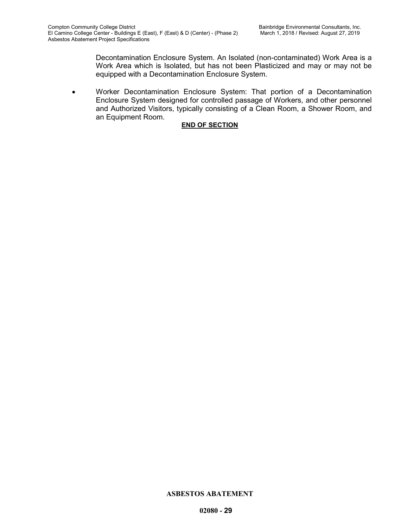Decontamination Enclosure System. An Isolated (non-contaminated) Work Area is a Work Area which is Isolated, but has not been Plasticized and may or may not be equipped with a Decontamination Enclosure System.

• Worker Decontamination Enclosure System: That portion of a Decontamination Enclosure System designed for controlled passage of Workers, and other personnel and Authorized Visitors, typically consisting of a Clean Room, a Shower Room, and an Equipment Room.

## **END OF SECTION**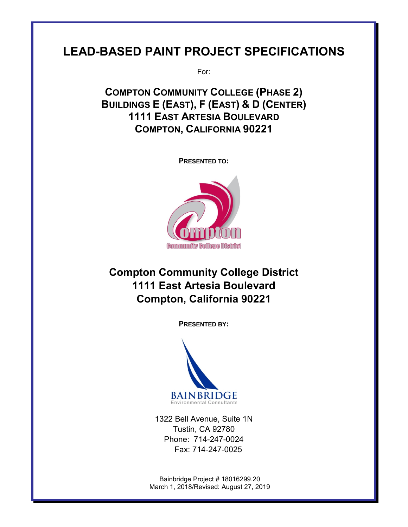# **LEAD-BASED PAINT PROJECT SPECIFICATIONS**

For:

**COMPTON COMMUNITY COLLEGE (PHASE 2) BUILDINGS E (EAST), F (EAST) & D (CENTER) 1111 EAST ARTESIA BOULEVARD COMPTON, CALIFORNIA 90221**

**PRESENTED TO:**



# **Compton Community College District 1111 East Artesia Boulevard Compton, California 90221**

**PRESENTED BY:**



1322 Bell Avenue, Suite 1N Tustin, CA 92780 Phone: 714-247-0024 Fax: 714-247-0025

Bainbridge Project # 18016299.20 March 1, 2018/Revised: August 27, 2019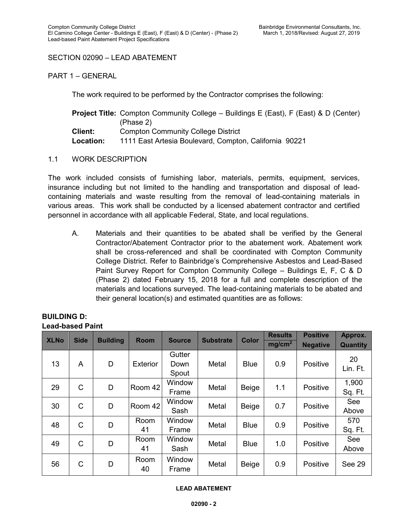## SECTION 02090 – LEAD ABATEMENT

PART 1 – GENERAL

The work required to be performed by the Contractor comprises the following:

|                  | <b>Project Title:</b> Compton Community College – Buildings E (East), F (East) & D (Center) |
|------------------|---------------------------------------------------------------------------------------------|
|                  | (Phase 2)                                                                                   |
| <b>Client:</b>   | <b>Compton Community College District</b>                                                   |
| <b>Location:</b> | 1111 East Artesia Boulevard, Compton, California 90221                                      |

1.1 WORK DESCRIPTION

The work included consists of furnishing labor, materials, permits, equipment, services, insurance including but not limited to the handling and transportation and disposal of leadcontaining materials and waste resulting from the removal of lead-containing materials in various areas. This work shall be conducted by a licensed abatement contractor and certified personnel in accordance with all applicable Federal, State, and local regulations.

A. Materials and their quantities to be abated shall be verified by the General Contractor/Abatement Contractor prior to the abatement work. Abatement work shall be cross-referenced and shall be coordinated with Compton Community College District. Refer to Bainbridge's Comprehensive Asbestos and Lead-Based Paint Survey Report for Compton Community College – Buildings E, F, C & D (Phase 2) dated February 15, 2018 for a full and complete description of the materials and locations surveyed. The lead-containing materials to be abated and their general location(s) and estimated quantities are as follows:

| Leau-Daseu Pallit |              |                 |                 |                         |                  |              |                    |                 |                  |
|-------------------|--------------|-----------------|-----------------|-------------------------|------------------|--------------|--------------------|-----------------|------------------|
| <b>XLNo</b>       | <b>Side</b>  | <b>Building</b> | <b>Room</b>     | <b>Source</b>           | <b>Substrate</b> | <b>Color</b> | <b>Results</b>     | <b>Positive</b> | Approx.          |
|                   |              |                 |                 |                         |                  |              | mg/cm <sup>2</sup> | <b>Negative</b> | <b>Quantity</b>  |
| 13                | A            | D               | <b>Exterior</b> | Gutter<br>Down<br>Spout | Metal            | <b>Blue</b>  | 0.9                | Positive        | 20<br>Lin. Ft.   |
| 29                | $\mathsf{C}$ | D               | Room 42         | Window<br>Frame         | Metal            | Beige        | 1.1                | Positive        | 1,900<br>Sq. Ft. |
| 30                | C            | D               | Room 42         | Window<br>Sash          | Metal            | Beige        | 0.7                | Positive        | See<br>Above     |
| 48                | C            | D               | Room<br>41      | Window<br>Frame         | Metal            | <b>Blue</b>  | 0.9                | Positive        | 570<br>Sq. Ft.   |
| 49                | $\mathsf{C}$ | D               | Room<br>41      | Window<br>Sash          | Metal            | <b>Blue</b>  | 1.0                | Positive        | See<br>Above     |
| 56                | C            | D               | Room<br>40      | Window<br>Frame         | Metal            | Beige        | 0.9                | Positive        | See 29           |

#### **BUILDING D: Lead-based Paint**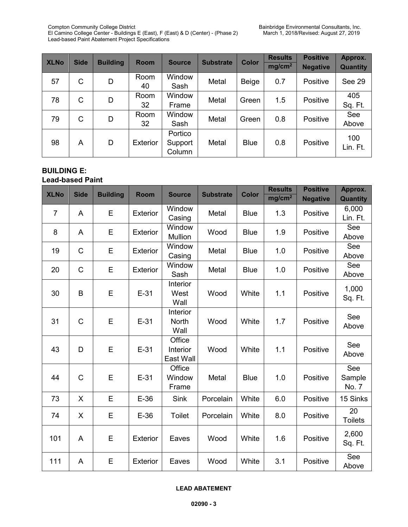Compton Community College District Bainbridge Environmental Consultants, Inc.<br>El Camino College Center - Buildings E (East), F (East) & D (Center) - (Phase 2) March 1, 2018/Revised: August 27, 2019 El Camino College Center - Buildings E (East), F (East) & D (Center) - (Phase 2) March 1, 2018/Revised: August 27, 2019 Lead-based Paint Abatement Project Specifications

| <b>XLNo</b> | <b>Side</b>  | <b>Building</b> | <b>Room</b>     | <b>Source</b>                | <b>Substrate</b> | <b>Color</b> | <b>Results</b><br>mg/cm <sup>2</sup> | <b>Positive</b><br><b>Negative</b> | Approx.<br>Quantity |
|-------------|--------------|-----------------|-----------------|------------------------------|------------------|--------------|--------------------------------------|------------------------------------|---------------------|
| 57          | $\mathsf{C}$ | D               | Room<br>40      | Window<br>Sash               | Metal            | <b>Beige</b> | 0.7                                  | Positive                           | See 29              |
| 78          | C            | D               | Room<br>32      | Window<br>Frame              | Metal            | Green        | 1.5                                  | Positive                           | 405<br>Sq. Ft.      |
| 79          | C            | D               | Room<br>32      | Window<br>Sash               | Metal            | Green        | 0.8                                  | Positive                           | See<br>Above        |
| 98          | A            | D               | <b>Exterior</b> | Portico<br>Support<br>Column | Metal            | <b>Blue</b>  | 0.8                                  | Positive                           | 100<br>Lin. Ft.     |

## **BUILDING E:**

## **Lead-based Paint**

| <b>XLNo</b>    | <b>Side</b>  | <b>Building</b> | <b>Room</b>     | <b>Source</b>      | <b>Substrate</b> | <b>Color</b> | <b>Results</b>     | <b>Positive</b> | Approx.         |
|----------------|--------------|-----------------|-----------------|--------------------|------------------|--------------|--------------------|-----------------|-----------------|
|                |              |                 |                 |                    |                  |              | mg/cm <sup>2</sup> | <b>Negative</b> | <b>Quantity</b> |
| $\overline{7}$ | A            | E               | <b>Exterior</b> | Window             | Metal            | <b>Blue</b>  | 1.3                | Positive        | 6,000           |
|                |              |                 |                 | Casing             |                  |              |                    |                 | Lin. Ft.        |
| 8              | A            | E               | <b>Exterior</b> | Window             | Wood             | <b>Blue</b>  | 1.9                | Positive        | See             |
|                |              |                 |                 | <b>Mullion</b>     |                  |              |                    |                 | Above           |
| 19             | $\mathsf{C}$ | E               | <b>Exterior</b> | Window<br>Casing   | Metal            | <b>Blue</b>  | 1.0                | Positive        | See<br>Above    |
|                |              |                 |                 | Window             |                  |              |                    |                 | See             |
| 20             | $\mathsf{C}$ | E               | <b>Exterior</b> | Sash               | Metal            | <b>Blue</b>  | 1.0                | Positive        | Above           |
|                |              |                 |                 | Interior           |                  |              |                    |                 |                 |
| 30             | B            | E               | $E-31$          | West               | Wood             | White        | 1.1                | Positive        | 1,000           |
|                |              |                 |                 | Wall               |                  |              |                    |                 | Sq. Ft.         |
|                |              |                 |                 | Interior           |                  |              |                    |                 | See             |
| 31             | $\mathsf{C}$ | E               | $E-31$          | <b>North</b>       | Wood             | White        | 1.7                | Positive        | Above           |
|                |              |                 |                 | Wall               |                  |              |                    |                 |                 |
| 43             | D            | E               | $E-31$          | Office<br>Interior | Wood             | White        | 1.1                | Positive        | See             |
|                |              |                 |                 | East Wall          |                  |              |                    |                 | Above           |
|                |              |                 |                 | Office             |                  |              |                    |                 | See             |
| 44             | $\mathsf C$  | E               | $E-31$          | Window             | Metal            | <b>Blue</b>  | 1.0                | Positive        | Sample          |
|                |              |                 |                 | Frame              |                  |              |                    |                 | No. 7           |
| 73             | X            | E               | $E-36$          | <b>Sink</b>        | Porcelain        | White        | 6.0                | Positive        | 15 Sinks        |
| 74             | X            | E               | $E-36$          | Toilet             | Porcelain        | White        | 8.0                | Positive        | 20              |
|                |              |                 |                 |                    |                  |              |                    |                 | <b>Toilets</b>  |
|                |              | E               |                 |                    | Wood             |              |                    |                 | 2,600           |
| 101            | A            |                 | <b>Exterior</b> | Eaves              |                  | White        | 1.6                | Positive        | Sq. Ft.         |
| 111            | A            | E               | <b>Exterior</b> | Eaves              | Wood             | White        | 3.1                | Positive        | See             |
|                |              |                 |                 |                    |                  |              |                    |                 | Above           |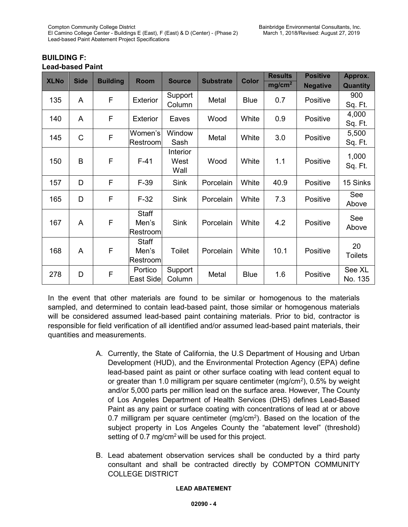|             |              |                 |                                   |                                 |                  |              | <b>Results</b>     | <b>Positive</b> | Approx.              |
|-------------|--------------|-----------------|-----------------------------------|---------------------------------|------------------|--------------|--------------------|-----------------|----------------------|
| <b>XLNo</b> | <b>Side</b>  | <b>Building</b> | <b>Room</b>                       | <b>Source</b>                   | <b>Substrate</b> | <b>Color</b> | mg/cm <sup>2</sup> | <b>Negative</b> | <b>Quantity</b>      |
| 135         | A            | F               | <b>Exterior</b>                   | Support<br>Column               | Metal            | <b>Blue</b>  | 0.7                | Positive        | 900<br>Sq. Ft.       |
| 140         | A            | F               | <b>Exterior</b>                   | Eaves                           | Wood             | White        | 0.9                | Positive        | 4,000<br>Sq. Ft.     |
| 145         | $\mathsf{C}$ | F               | Women's<br>Restroom               | Window<br>Sash                  | Metal            | White        | 3.0                | Positive        | 5,500<br>Sq. Ft.     |
| 150         | B            | F               | $F-41$                            | <b>Interior</b><br>West<br>Wall | Wood             | White        | 1.1                | Positive        | 1,000<br>Sq. Ft.     |
| 157         | D            | F               | $F-39$                            | <b>Sink</b>                     | Porcelain        | White        | 40.9               | Positive        | 15 Sinks             |
| 165         | D            | F               | $F-32$                            | <b>Sink</b>                     | Porcelain        | White        | 7.3                | Positive        | See<br>Above         |
| 167         | A            | F               | <b>Staff</b><br>Men's<br>Restroom | <b>Sink</b>                     | Porcelain        | White        | 4.2                | Positive        | See<br>Above         |
| 168         | A            | F               | <b>Staff</b><br>Men's<br>Restroom | Toilet                          | Porcelain        | White        | 10.1               | Positive        | 20<br><b>Toilets</b> |
| 278         | D            | F               | Portico<br><b>East Side</b>       | Support<br>Column               | Metal            | <b>Blue</b>  | 1.6                | Positive        | See XL<br>No. 135    |

## **BUILDING F: Lead-based Paint**

In the event that other materials are found to be similar or homogenous to the materials sampled, and determined to contain lead-based paint, those similar or homogenous materials will be considered assumed lead-based paint containing materials. Prior to bid, contractor is responsible for field verification of all identified and/or assumed lead-based paint materials, their quantities and measurements.

- A. Currently, the State of California, the U.S Department of Housing and Urban Development (HUD), and the Environmental Protection Agency (EPA) define lead-based paint as paint or other surface coating with lead content equal to or greater than 1.0 milligram per square centimeter (mg/cm2 ), 0.5% by weight and/or 5,000 parts per million lead on the surface area. However, The County of Los Angeles Department of Health Services (DHS) defines Lead-Based Paint as any paint or surface coating with concentrations of lead at or above 0.7 milligram per square centimeter (mg/cm<sup>2</sup>). Based on the location of the subject property in Los Angeles County the "abatement level" (threshold) setting of  $0.7 \text{ mg/cm}^2$  will be used for this project.
- B. Lead abatement observation services shall be conducted by a third party consultant and shall be contracted directly by COMPTON COMMUNITY COLLEGE DISTRICT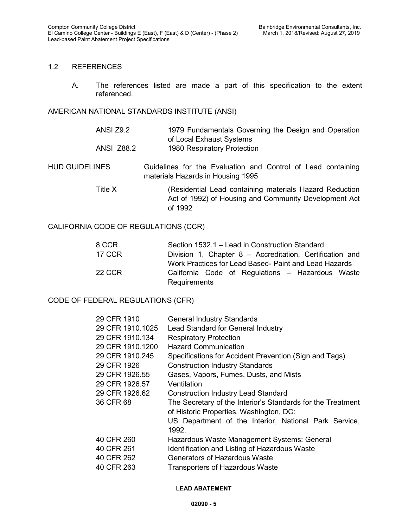## 1.2 REFERENCES

A. The references listed are made a part of this specification to the extent referenced.

### AMERICAN NATIONAL STANDARDS INSTITUTE (ANSI)

ANSI Z9.2 1979 Fundamentals Governing the Design and Operation of Local Exhaust Systems ANSI Z88.2 1980 Respiratory Protection

HUD GUIDELINES Guidelines for the Evaluation and Control of Lead containing materials Hazards in Housing 1995

> Title X (Residential Lead containing materials Hazard Reduction Act of 1992) of Housing and Community Development Act of 1992

## CALIFORNIA CODE OF REGULATIONS (CCR)

| 8 CCR         | Section 1532.1 – Lead in Construction Standard           |
|---------------|----------------------------------------------------------|
| <b>17 CCR</b> | Division 1, Chapter 8 – Accreditation, Certification and |
|               | Work Practices for Lead Based- Paint and Lead Hazards    |
| <b>22 CCR</b> | California Code of Regulations - Hazardous Waste         |
|               | Requirements                                             |

## CODE OF FEDERAL REGULATIONS (CFR)

| 29 CFR 1910      | <b>General Industry Standards</b>                           |
|------------------|-------------------------------------------------------------|
| 29 CFR 1910.1025 | Lead Standard for General Industry                          |
| 29 CFR 1910.134  | <b>Respiratory Protection</b>                               |
| 29 CFR 1910.1200 | <b>Hazard Communication</b>                                 |
| 29 CFR 1910.245  | Specifications for Accident Prevention (Sign and Tags)      |
| 29 CFR 1926      | <b>Construction Industry Standards</b>                      |
| 29 CFR 1926.55   | Gases, Vapors, Fumes, Dusts, and Mists                      |
| 29 CFR 1926.57   | Ventilation                                                 |
| 29 CFR 1926.62   | <b>Construction Industry Lead Standard</b>                  |
| 36 CFR 68        | The Secretary of the Interior's Standards for the Treatment |
|                  | of Historic Properties. Washington, DC:                     |
|                  | US Department of the Interior, National Park Service,       |
|                  | 1992.                                                       |
| 40 CFR 260       | Hazardous Waste Management Systems: General                 |
| 40 CFR 261       | Identification and Listing of Hazardous Waste               |
| 40 CFR 262       | Generators of Hazardous Waste                               |
| 40 CFR 263       | <b>Transporters of Hazardous Waste</b>                      |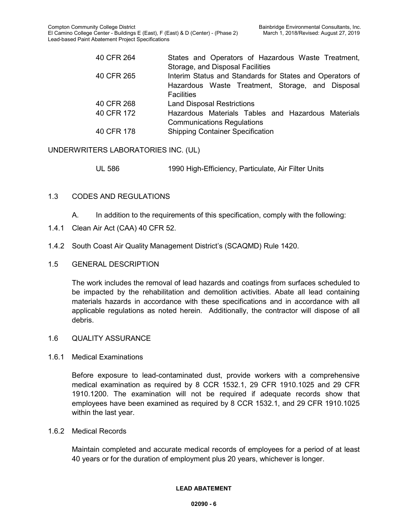| 40 CFR 264 | States and Operators of Hazardous Waste Treatment,       |
|------------|----------------------------------------------------------|
|            | Storage, and Disposal Facilities                         |
| 40 CFR 265 | Interim Status and Standards for States and Operators of |
|            | Hazardous Waste Treatment, Storage, and Disposal         |
|            | <b>Facilities</b>                                        |
| 40 CFR 268 | <b>Land Disposal Restrictions</b>                        |
| 40 CFR 172 | Hazardous Materials Tables and Hazardous Materials       |
|            | <b>Communications Regulations</b>                        |
| 40 CFR 178 | <b>Shipping Container Specification</b>                  |

## UNDERWRITERS LABORATORIES INC. (UL)

UL 586 1990 High-Efficiency, Particulate, Air Filter Units

## 1.3 CODES AND REGULATIONS

- A. In addition to the requirements of this specification, comply with the following:
- 1.4.1 Clean Air Act (CAA) 40 CFR 52.
- 1.4.2 South Coast Air Quality Management District's (SCAQMD) Rule 1420.
- 1.5 GENERAL DESCRIPTION

The work includes the removal of lead hazards and coatings from surfaces scheduled to be impacted by the rehabilitation and demolition activities. Abate all lead containing materials hazards in accordance with these specifications and in accordance with all applicable regulations as noted herein. Additionally, the contractor will dispose of all debris.

#### 1.6 QUALITY ASSURANCE

#### 1.6.1 Medical Examinations

Before exposure to lead-contaminated dust, provide workers with a comprehensive medical examination as required by 8 CCR 1532.1, 29 CFR 1910.1025 and 29 CFR 1910.1200. The examination will not be required if adequate records show that employees have been examined as required by 8 CCR 1532.1, and 29 CFR 1910.1025 within the last year.

#### 1.6.2 Medical Records

Maintain completed and accurate medical records of employees for a period of at least 40 years or for the duration of employment plus 20 years, whichever is longer.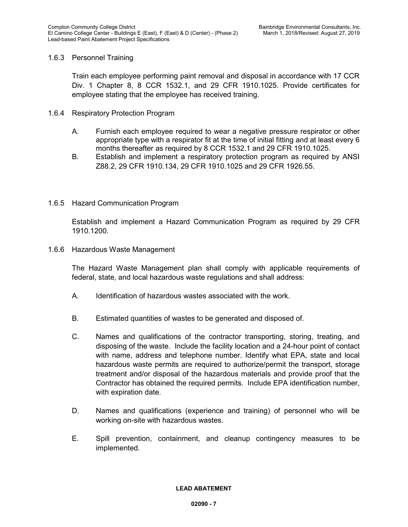## 1.6.3 Personnel Training

Train each employee performing paint removal and disposal in accordance with 17 CCR Div. 1 Chapter 8, 8 CCR 1532.1, and 29 CFR 1910.1025. Provide certificates for employee stating that the employee has received training.

- 1.6.4 Respiratory Protection Program
	- A. Furnish each employee required to wear a negative pressure respirator or other appropriate type with a respirator fit at the time of initial fitting and at least every 6 months thereafter as required by 8 CCR 1532.1 and 29 CFR 1910.1025.
	- B. Establish and implement a respiratory protection program as required by ANSI Z88.2, 29 CFR 1910.134, 29 CFR 1910.1025 and 29 CFR 1926.55.
- 1.6.5 Hazard Communication Program

Establish and implement a Hazard Communication Program as required by 29 CFR 1910.1200.

1.6.6 Hazardous Waste Management

The Hazard Waste Management plan shall comply with applicable requirements of federal, state, and local hazardous waste regulations and shall address:

- A. Identification of hazardous wastes associated with the work.
- B. Estimated quantities of wastes to be generated and disposed of.
- C. Names and qualifications of the contractor transporting, storing, treating, and disposing of the waste. Include the facility location and a 24-hour point of contact with name, address and telephone number. Identify what EPA, state and local hazardous waste permits are required to authorize/permit the transport, storage treatment and/or disposal of the hazardous materials and provide proof that the Contractor has obtained the required permits. Include EPA identification number, with expiration date.
- D. Names and qualifications (experience and training) of personnel who will be working on-site with hazardous wastes.
- E. Spill prevention, containment, and cleanup contingency measures to be implemented.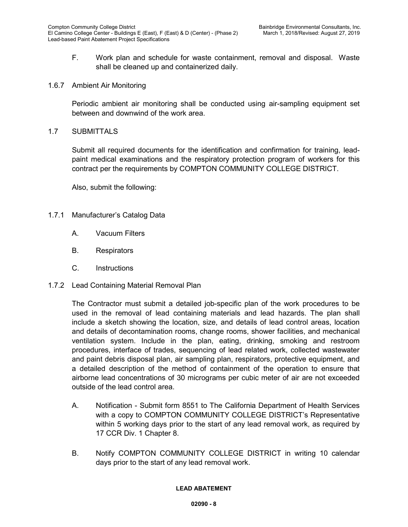- F. Work plan and schedule for waste containment, removal and disposal. Waste shall be cleaned up and containerized daily.
- 1.6.7 Ambient Air Monitoring

Periodic ambient air monitoring shall be conducted using air-sampling equipment set between and downwind of the work area.

1.7 SUBMITTALS

Submit all required documents for the identification and confirmation for training, leadpaint medical examinations and the respiratory protection program of workers for this contract per the requirements by COMPTON COMMUNITY COLLEGE DISTRICT.

Also, submit the following:

- 1.7.1 Manufacturer's Catalog Data
	- A. Vacuum Filters
	- B. Respirators
	- C. Instructions
- 1.7.2 Lead Containing Material Removal Plan

The Contractor must submit a detailed job-specific plan of the work procedures to be used in the removal of lead containing materials and lead hazards. The plan shall include a sketch showing the location, size, and details of lead control areas, location and details of decontamination rooms, change rooms, shower facilities, and mechanical ventilation system. Include in the plan, eating, drinking, smoking and restroom procedures, interface of trades, sequencing of lead related work, collected wastewater and paint debris disposal plan, air sampling plan, respirators, protective equipment, and a detailed description of the method of containment of the operation to ensure that airborne lead concentrations of 30 micrograms per cubic meter of air are not exceeded outside of the lead control area.

- A. Notification Submit form 8551 to The California Department of Health Services with a copy to COMPTON COMMUNITY COLLEGE DISTRICT's Representative within 5 working days prior to the start of any lead removal work, as required by 17 CCR Div. 1 Chapter 8.
- B. Notify COMPTON COMMUNITY COLLEGE DISTRICT in writing 10 calendar days prior to the start of any lead removal work.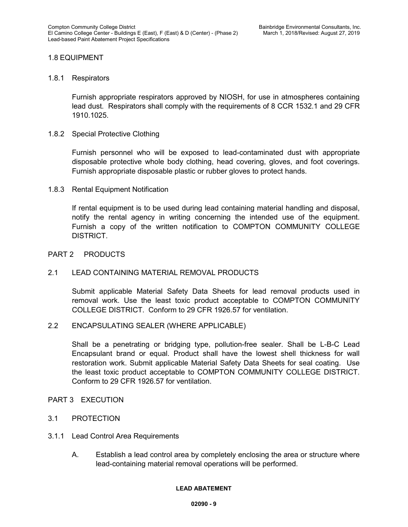## 1.8 EQUIPMENT

### 1.8.1 Respirators

Furnish appropriate respirators approved by NIOSH, for use in atmospheres containing lead dust. Respirators shall comply with the requirements of 8 CCR 1532.1 and 29 CFR 1910.1025.

## 1.8.2 Special Protective Clothing

Furnish personnel who will be exposed to lead-contaminated dust with appropriate disposable protective whole body clothing, head covering, gloves, and foot coverings. Furnish appropriate disposable plastic or rubber gloves to protect hands.

## 1.8.3 Rental Equipment Notification

If rental equipment is to be used during lead containing material handling and disposal, notify the rental agency in writing concerning the intended use of the equipment. Furnish a copy of the written notification to COMPTON COMMUNITY COLLEGE DISTRICT.

## PART 2 PRODUCTS

## 2.1 LEAD CONTAINING MATERIAL REMOVAL PRODUCTS

Submit applicable Material Safety Data Sheets for lead removal products used in removal work. Use the least toxic product acceptable to COMPTON COMMUNITY COLLEGE DISTRICT. Conform to 29 CFR 1926.57 for ventilation.

## 2.2 ENCAPSULATING SEALER (WHERE APPLICABLE)

Shall be a penetrating or bridging type, pollution-free sealer. Shall be L-B-C Lead Encapsulant brand or equal. Product shall have the lowest shell thickness for wall restoration work. Submit applicable Material Safety Data Sheets for seal coating. Use the least toxic product acceptable to COMPTON COMMUNITY COLLEGE DISTRICT. Conform to 29 CFR 1926.57 for ventilation.

#### PART 3 EXECUTION

## 3.1 PROTECTION

- 3.1.1 Lead Control Area Requirements
	- A. Establish a lead control area by completely enclosing the area or structure where lead-containing material removal operations will be performed.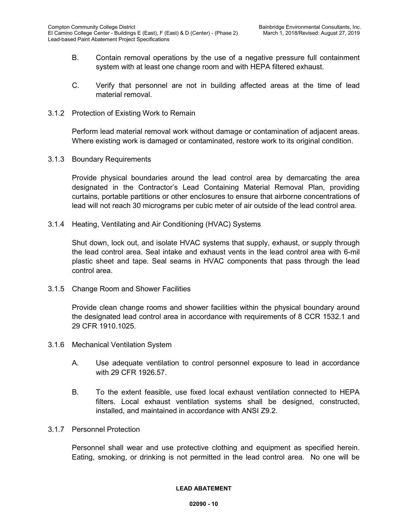- B. Contain removal operations by the use of a negative pressure full containment system with at least one change room and with HEPA filtered exhaust.
- C. Verify that personnel are not in building affected areas at the time of lead material removal.
- 3.1.2 Protection of Existing Work to Remain

Perform lead material removal work without damage or contamination of adjacent areas. Where existing work is damaged or contaminated, restore work to its original condition.

3.1.3 Boundary Requirements

Provide physical boundaries around the lead control area by demarcating the area designated in the Contractor's Lead Containing Material Removal Plan, providing curtains, portable partitions or other enclosures to ensure that airborne concentrations of lead will not reach 30 micrograms per cubic meter of air outside of the lead control area.

3.1.4 Heating, Ventilating and Air Conditioning (HVAC) Systems

Shut down, lock out, and isolate HVAC systems that supply, exhaust, or supply through the lead control area. Seal intake and exhaust vents in the lead control area with 6-mil plastic sheet and tape. Seal seams in HVAC components that pass through the lead control area.

3.1.5 Change Room and Shower Facilities

Provide clean change rooms and shower facilities within the physical boundary around the designated lead control area in accordance with requirements of 8 CCR 1532.1 and 29 CFR 1910.1025.

- 3.1.6 Mechanical Ventilation System
	- A. Use adequate ventilation to control personnel exposure to lead in accordance with 29 CFR 1926.57.
	- B. To the extent feasible, use fixed local exhaust ventilation connected to HEPA filters. Local exhaust ventilation systems shall be designed, constructed, installed, and maintained in accordance with ANSI Z9.2.
- 3.1.7 Personnel Protection

Personnel shall wear and use protective clothing and equipment as specified herein. Eating, smoking, or drinking is not permitted in the lead control area. No one will be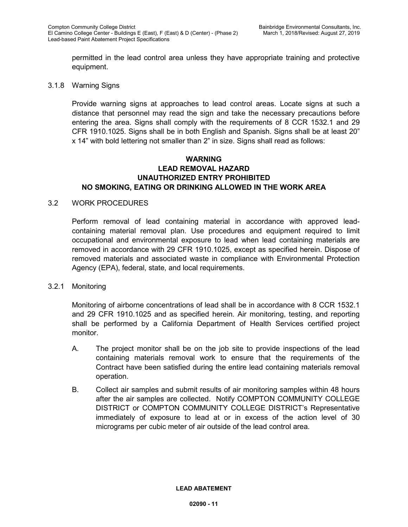permitted in the lead control area unless they have appropriate training and protective equipment.

#### 3.1.8 Warning Signs

Provide warning signs at approaches to lead control areas. Locate signs at such a distance that personnel may read the sign and take the necessary precautions before entering the area. Signs shall comply with the requirements of 8 CCR 1532.1 and 29 CFR 1910.1025. Signs shall be in both English and Spanish. Signs shall be at least 20" x 14" with bold lettering not smaller than 2" in size. Signs shall read as follows:

## **WARNING LEAD REMOVAL HAZARD UNAUTHORIZED ENTRY PROHIBITED NO SMOKING, EATING OR DRINKING ALLOWED IN THE WORK AREA**

#### 3.2 WORK PROCEDURES

Perform removal of lead containing material in accordance with approved leadcontaining material removal plan. Use procedures and equipment required to limit occupational and environmental exposure to lead when lead containing materials are removed in accordance with 29 CFR 1910.1025, except as specified herein. Dispose of removed materials and associated waste in compliance with Environmental Protection Agency (EPA), federal, state, and local requirements.

#### 3.2.1 Monitoring

Monitoring of airborne concentrations of lead shall be in accordance with 8 CCR 1532.1 and 29 CFR 1910.1025 and as specified herein. Air monitoring, testing, and reporting shall be performed by a California Department of Health Services certified project monitor.

- A. The project monitor shall be on the job site to provide inspections of the lead containing materials removal work to ensure that the requirements of the Contract have been satisfied during the entire lead containing materials removal operation.
- B. Collect air samples and submit results of air monitoring samples within 48 hours after the air samples are collected. Notify COMPTON COMMUNITY COLLEGE DISTRICT or COMPTON COMMUNITY COLLEGE DISTRICT's Representative immediately of exposure to lead at or in excess of the action level of 30 micrograms per cubic meter of air outside of the lead control area.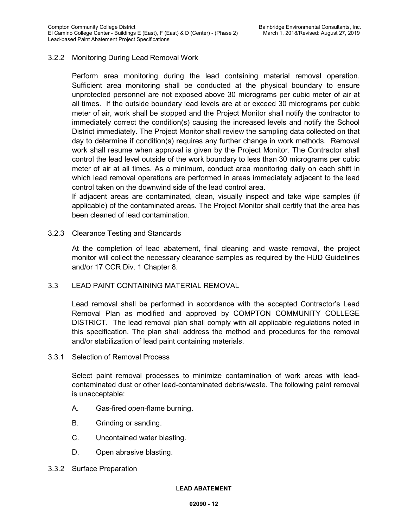## 3.2.2 Monitoring During Lead Removal Work

Perform area monitoring during the lead containing material removal operation. Sufficient area monitoring shall be conducted at the physical boundary to ensure unprotected personnel are not exposed above 30 micrograms per cubic meter of air at all times. If the outside boundary lead levels are at or exceed 30 micrograms per cubic meter of air, work shall be stopped and the Project Monitor shall notify the contractor to immediately correct the condition(s) causing the increased levels and notify the School District immediately. The Project Monitor shall review the sampling data collected on that day to determine if condition(s) requires any further change in work methods. Removal work shall resume when approval is given by the Project Monitor. The Contractor shall control the lead level outside of the work boundary to less than 30 micrograms per cubic meter of air at all times. As a minimum, conduct area monitoring daily on each shift in which lead removal operations are performed in areas immediately adjacent to the lead control taken on the downwind side of the lead control area.

If adjacent areas are contaminated, clean, visually inspect and take wipe samples (if applicable) of the contaminated areas. The Project Monitor shall certify that the area has been cleaned of lead contamination.

#### 3.2.3 Clearance Testing and Standards

At the completion of lead abatement, final cleaning and waste removal, the project monitor will collect the necessary clearance samples as required by the HUD Guidelines and/or 17 CCR Div. 1 Chapter 8.

## 3.3 LEAD PAINT CONTAINING MATERIAL REMOVAL

Lead removal shall be performed in accordance with the accepted Contractor's Lead Removal Plan as modified and approved by COMPTON COMMUNITY COLLEGE DISTRICT. The lead removal plan shall comply with all applicable regulations noted in this specification. The plan shall address the method and procedures for the removal and/or stabilization of lead paint containing materials.

3.3.1 Selection of Removal Process

Select paint removal processes to minimize contamination of work areas with leadcontaminated dust or other lead-contaminated debris/waste. The following paint removal is unacceptable:

- A. Gas-fired open-flame burning.
- B. Grinding or sanding.
- C. Uncontained water blasting.
- D. Open abrasive blasting.
- 3.3.2 Surface Preparation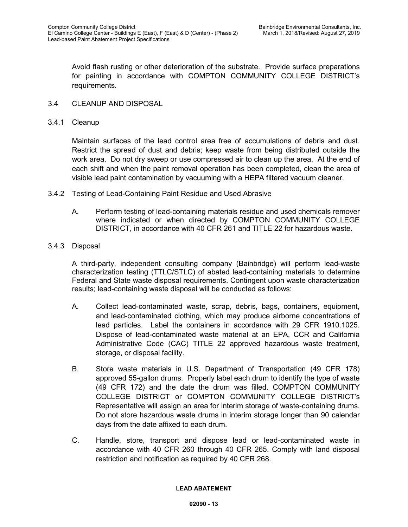Avoid flash rusting or other deterioration of the substrate. Provide surface preparations for painting in accordance with COMPTON COMMUNITY COLLEGE DISTRICT's requirements.

- 3.4 CLEANUP AND DISPOSAL
- 3.4.1 Cleanup

Maintain surfaces of the lead control area free of accumulations of debris and dust. Restrict the spread of dust and debris; keep waste from being distributed outside the work area. Do not dry sweep or use compressed air to clean up the area. At the end of each shift and when the paint removal operation has been completed, clean the area of visible lead paint contamination by vacuuming with a HEPA filtered vacuum cleaner.

- 3.4.2 Testing of Lead-Containing Paint Residue and Used Abrasive
	- A. Perform testing of lead-containing materials residue and used chemicals remover where indicated or when directed by COMPTON COMMUNITY COLLEGE DISTRICT, in accordance with 40 CFR 261 and TITLE 22 for hazardous waste.
- 3.4.3 Disposal

A third-party, independent consulting company (Bainbridge) will perform lead-waste characterization testing (TTLC/STLC) of abated lead-containing materials to determine Federal and State waste disposal requirements. Contingent upon waste characterization results; lead-containing waste disposal will be conducted as follows:

- A. Collect lead-contaminated waste, scrap, debris, bags, containers, equipment, and lead-contaminated clothing, which may produce airborne concentrations of lead particles. Label the containers in accordance with 29 CFR 1910.1025. Dispose of lead-contaminated waste material at an EPA, CCR and California Administrative Code (CAC) TITLE 22 approved hazardous waste treatment, storage, or disposal facility.
- B. Store waste materials in U.S. Department of Transportation (49 CFR 178) approved 55-gallon drums. Properly label each drum to identify the type of waste (49 CFR 172) and the date the drum was filled. COMPTON COMMUNITY COLLEGE DISTRICT or COMPTON COMMUNITY COLLEGE DISTRICT's Representative will assign an area for interim storage of waste-containing drums. Do not store hazardous waste drums in interim storage longer than 90 calendar days from the date affixed to each drum.
- C. Handle, store, transport and dispose lead or lead-contaminated waste in accordance with 40 CFR 260 through 40 CFR 265. Comply with land disposal restriction and notification as required by 40 CFR 268.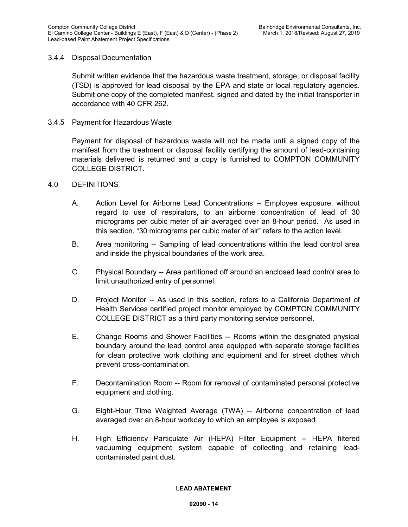## 3.4.4 Disposal Documentation

Submit written evidence that the hazardous waste treatment, storage, or disposal facility (TSD) is approved for lead disposal by the EPA and state or local regulatory agencies. Submit one copy of the completed manifest, signed and dated by the initial transporter in accordance with 40 CFR 262.

3.4.5 Payment for Hazardous Waste

Payment for disposal of hazardous waste will not be made until a signed copy of the manifest from the treatment or disposal facility certifying the amount of lead-containing materials delivered is returned and a copy is furnished to COMPTON COMMUNITY COLLEGE DISTRICT.

## 4.0 DEFINITIONS

- A. Action Level for Airborne Lead Concentrations -- Employee exposure, without regard to use of respirators, to an airborne concentration of lead of 30 micrograms per cubic meter of air averaged over an 8-hour period. As used in this section, "30 micrograms per cubic meter of air" refers to the action level.
- B. Area monitoring -- Sampling of lead concentrations within the lead control area and inside the physical boundaries of the work area.
- C. Physical Boundary -- Area partitioned off around an enclosed lead control area to limit unauthorized entry of personnel.
- D. Project Monitor -- As used in this section, refers to a California Department of Health Services certified project monitor employed by COMPTON COMMUNITY COLLEGE DISTRICT as a third party monitoring service personnel.
- E. Change Rooms and Shower Facilities -- Rooms within the designated physical boundary around the lead control area equipped with separate storage facilities for clean protective work clothing and equipment and for street clothes which prevent cross-contamination.
- F. Decontamination Room -- Room for removal of contaminated personal protective equipment and clothing.
- G. Eight-Hour Time Weighted Average (TWA) -- Airborne concentration of lead averaged over an 8-hour workday to which an employee is exposed.
- H. High Efficiency Particulate Air (HEPA) Filter Equipment -- HEPA filtered vacuuming equipment system capable of collecting and retaining leadcontaminated paint dust.